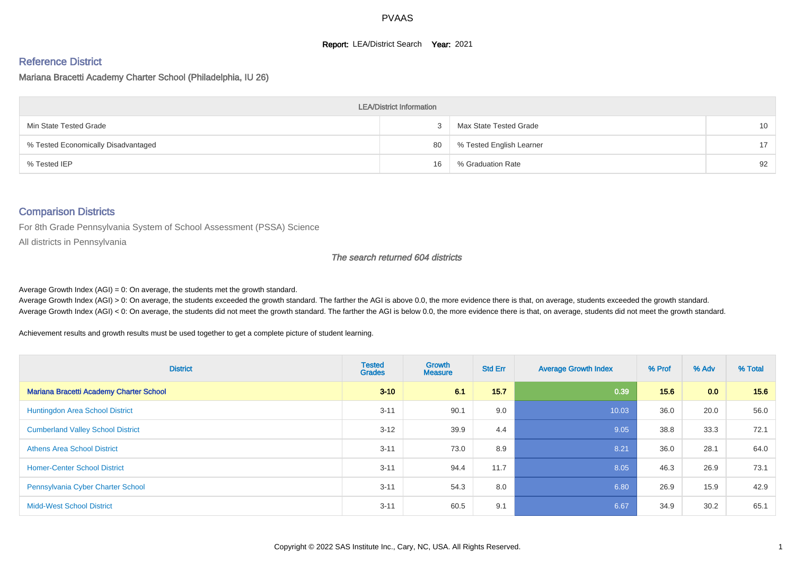#### **Report: LEA/District Search Year: 2021**

#### Reference District

Mariana Bracetti Academy Charter School (Philadelphia, IU 26)

| <b>LEA/District Information</b>     |    |                          |    |  |  |  |  |  |  |
|-------------------------------------|----|--------------------------|----|--|--|--|--|--|--|
| Min State Tested Grade              |    | Max State Tested Grade   | 10 |  |  |  |  |  |  |
| % Tested Economically Disadvantaged | 80 | % Tested English Learner | 17 |  |  |  |  |  |  |
| % Tested IEP                        | 16 | % Graduation Rate        | 92 |  |  |  |  |  |  |

#### Comparison Districts

For 8th Grade Pennsylvania System of School Assessment (PSSA) Science

All districts in Pennsylvania

#### The search returned 604 districts

Average Growth Index  $(AGI) = 0$ : On average, the students met the growth standard.

Average Growth Index (AGI) > 0: On average, the students exceeded the growth standard. The farther the AGI is above 0.0, the more evidence there is that, on average, students exceeded the growth standard. Average Growth Index (AGI) < 0: On average, the students did not meet the growth standard. The farther the AGI is below 0.0, the more evidence there is that, on average, students did not meet the growth standard.

Achievement results and growth results must be used together to get a complete picture of student learning.

| <b>District</b>                                | <b>Tested</b><br><b>Grades</b> | Growth<br><b>Measure</b> | <b>Std Err</b> | <b>Average Growth Index</b> | % Prof | % Adv | % Total |
|------------------------------------------------|--------------------------------|--------------------------|----------------|-----------------------------|--------|-------|---------|
| <b>Mariana Bracetti Academy Charter School</b> | $3 - 10$                       | 6.1                      | 15.7           | 0.39                        | 15.6   | 0.0   | 15.6    |
| Huntingdon Area School District                | $3 - 11$                       | 90.1                     | 9.0            | 10.03                       | 36.0   | 20.0  | 56.0    |
| <b>Cumberland Valley School District</b>       | $3 - 12$                       | 39.9                     | 4.4            | 9.05                        | 38.8   | 33.3  | 72.1    |
| <b>Athens Area School District</b>             | $3 - 11$                       | 73.0                     | 8.9            | 8.21                        | 36.0   | 28.1  | 64.0    |
| <b>Homer-Center School District</b>            | $3 - 11$                       | 94.4                     | 11.7           | 8.05                        | 46.3   | 26.9  | 73.1    |
| Pennsylvania Cyber Charter School              | $3 - 11$                       | 54.3                     | 8.0            | 6.80                        | 26.9   | 15.9  | 42.9    |
| <b>Midd-West School District</b>               | $3 - 11$                       | 60.5                     | 9.1            | 6.67                        | 34.9   | 30.2  | 65.1    |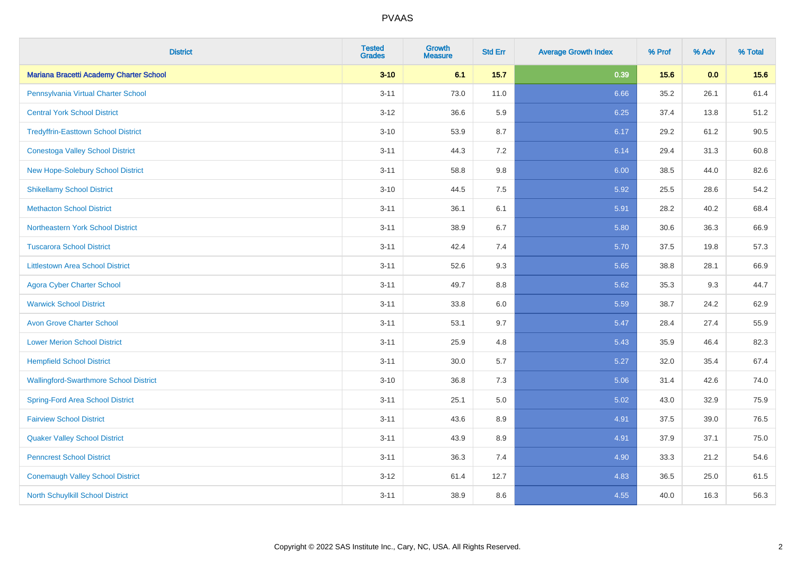| <b>District</b>                               | <b>Tested</b><br><b>Grades</b> | Growth<br><b>Measure</b> | <b>Std Err</b> | <b>Average Growth Index</b> | % Prof | % Adv | % Total |
|-----------------------------------------------|--------------------------------|--------------------------|----------------|-----------------------------|--------|-------|---------|
| Mariana Bracetti Academy Charter School       | $3 - 10$                       | 6.1                      | 15.7           | 0.39                        | 15.6   | 0.0   | 15.6    |
| Pennsylvania Virtual Charter School           | $3 - 11$                       | 73.0                     | 11.0           | 6.66                        | 35.2   | 26.1  | 61.4    |
| <b>Central York School District</b>           | $3 - 12$                       | 36.6                     | 5.9            | 6.25                        | 37.4   | 13.8  | 51.2    |
| <b>Tredyffrin-Easttown School District</b>    | $3 - 10$                       | 53.9                     | 8.7            | 6.17                        | 29.2   | 61.2  | 90.5    |
| <b>Conestoga Valley School District</b>       | $3 - 11$                       | 44.3                     | 7.2            | 6.14                        | 29.4   | 31.3  | 60.8    |
| New Hope-Solebury School District             | $3 - 11$                       | 58.8                     | 9.8            | 6.00                        | 38.5   | 44.0  | 82.6    |
| <b>Shikellamy School District</b>             | $3 - 10$                       | 44.5                     | 7.5            | 5.92                        | 25.5   | 28.6  | 54.2    |
| <b>Methacton School District</b>              | $3 - 11$                       | 36.1                     | 6.1            | 5.91                        | 28.2   | 40.2  | 68.4    |
| Northeastern York School District             | $3 - 11$                       | 38.9                     | 6.7            | 5.80                        | 30.6   | 36.3  | 66.9    |
| <b>Tuscarora School District</b>              | $3 - 11$                       | 42.4                     | 7.4            | 5.70                        | 37.5   | 19.8  | 57.3    |
| <b>Littlestown Area School District</b>       | $3 - 11$                       | 52.6                     | 9.3            | 5.65                        | 38.8   | 28.1  | 66.9    |
| <b>Agora Cyber Charter School</b>             | $3 - 11$                       | 49.7                     | 8.8            | 5.62                        | 35.3   | 9.3   | 44.7    |
| <b>Warwick School District</b>                | $3 - 11$                       | 33.8                     | $6.0\,$        | 5.59                        | 38.7   | 24.2  | 62.9    |
| <b>Avon Grove Charter School</b>              | $3 - 11$                       | 53.1                     | 9.7            | 5.47                        | 28.4   | 27.4  | 55.9    |
| <b>Lower Merion School District</b>           | $3 - 11$                       | 25.9                     | 4.8            | 5.43                        | 35.9   | 46.4  | 82.3    |
| <b>Hempfield School District</b>              | $3 - 11$                       | 30.0                     | 5.7            | 5.27                        | 32.0   | 35.4  | 67.4    |
| <b>Wallingford-Swarthmore School District</b> | $3 - 10$                       | 36.8                     | 7.3            | 5.06                        | 31.4   | 42.6  | 74.0    |
| <b>Spring-Ford Area School District</b>       | $3 - 11$                       | 25.1                     | 5.0            | 5.02                        | 43.0   | 32.9  | 75.9    |
| <b>Fairview School District</b>               | $3 - 11$                       | 43.6                     | 8.9            | 4.91                        | 37.5   | 39.0  | 76.5    |
| <b>Quaker Valley School District</b>          | $3 - 11$                       | 43.9                     | 8.9            | 4.91                        | 37.9   | 37.1  | 75.0    |
| <b>Penncrest School District</b>              | $3 - 11$                       | 36.3                     | 7.4            | 4.90                        | 33.3   | 21.2  | 54.6    |
| <b>Conemaugh Valley School District</b>       | $3 - 12$                       | 61.4                     | 12.7           | 4.83                        | 36.5   | 25.0  | 61.5    |
| North Schuylkill School District              | $3 - 11$                       | 38.9                     | 8.6            | 4.55                        | 40.0   | 16.3  | 56.3    |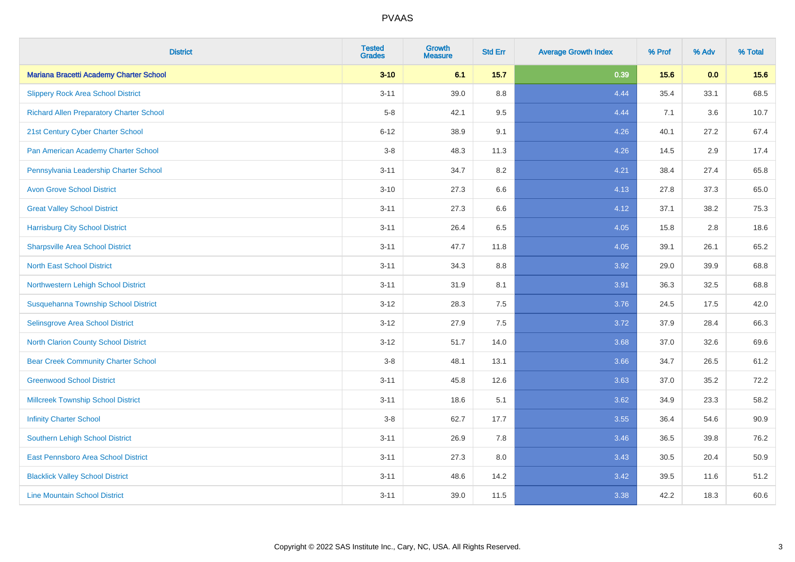| <b>District</b>                                 | <b>Tested</b><br><b>Grades</b> | <b>Growth</b><br><b>Measure</b> | <b>Std Err</b> | <b>Average Growth Index</b> | % Prof | % Adv | % Total |
|-------------------------------------------------|--------------------------------|---------------------------------|----------------|-----------------------------|--------|-------|---------|
| Mariana Bracetti Academy Charter School         | $3 - 10$                       | 6.1                             | $15.7$         | 0.39                        | 15.6   | 0.0   | 15.6    |
| <b>Slippery Rock Area School District</b>       | $3 - 11$                       | 39.0                            | 8.8            | 4.44                        | 35.4   | 33.1  | 68.5    |
| <b>Richard Allen Preparatory Charter School</b> | $5-8$                          | 42.1                            | 9.5            | 4.44                        | 7.1    | 3.6   | 10.7    |
| 21st Century Cyber Charter School               | $6 - 12$                       | 38.9                            | 9.1            | 4.26                        | 40.1   | 27.2  | 67.4    |
| Pan American Academy Charter School             | $3-8$                          | 48.3                            | 11.3           | 4.26                        | 14.5   | 2.9   | 17.4    |
| Pennsylvania Leadership Charter School          | $3 - 11$                       | 34.7                            | $8.2\,$        | 4.21                        | 38.4   | 27.4  | 65.8    |
| <b>Avon Grove School District</b>               | $3 - 10$                       | 27.3                            | 6.6            | 4.13                        | 27.8   | 37.3  | 65.0    |
| <b>Great Valley School District</b>             | $3 - 11$                       | 27.3                            | 6.6            | 4.12                        | 37.1   | 38.2  | 75.3    |
| <b>Harrisburg City School District</b>          | $3 - 11$                       | 26.4                            | 6.5            | 4.05                        | 15.8   | 2.8   | 18.6    |
| <b>Sharpsville Area School District</b>         | $3 - 11$                       | 47.7                            | 11.8           | 4.05                        | 39.1   | 26.1  | 65.2    |
| <b>North East School District</b>               | $3 - 11$                       | 34.3                            | 8.8            | 3.92                        | 29.0   | 39.9  | 68.8    |
| Northwestern Lehigh School District             | $3 - 11$                       | 31.9                            | 8.1            | 3.91                        | 36.3   | 32.5  | 68.8    |
| Susquehanna Township School District            | $3 - 12$                       | 28.3                            | 7.5            | 3.76                        | 24.5   | 17.5  | 42.0    |
| Selinsgrove Area School District                | $3 - 12$                       | 27.9                            | 7.5            | 3.72                        | 37.9   | 28.4  | 66.3    |
| <b>North Clarion County School District</b>     | $3 - 12$                       | 51.7                            | 14.0           | 3.68                        | 37.0   | 32.6  | 69.6    |
| <b>Bear Creek Community Charter School</b>      | $3-8$                          | 48.1                            | 13.1           | 3.66                        | 34.7   | 26.5  | 61.2    |
| <b>Greenwood School District</b>                | $3 - 11$                       | 45.8                            | 12.6           | 3.63                        | 37.0   | 35.2  | 72.2    |
| <b>Millcreek Township School District</b>       | $3 - 11$                       | 18.6                            | 5.1            | 3.62                        | 34.9   | 23.3  | 58.2    |
| <b>Infinity Charter School</b>                  | $3-8$                          | 62.7                            | 17.7           | 3.55                        | 36.4   | 54.6  | 90.9    |
| <b>Southern Lehigh School District</b>          | $3 - 11$                       | 26.9                            | 7.8            | 3.46                        | 36.5   | 39.8  | 76.2    |
| East Pennsboro Area School District             | $3 - 11$                       | 27.3                            | 8.0            | 3.43                        | 30.5   | 20.4  | 50.9    |
| <b>Blacklick Valley School District</b>         | $3 - 11$                       | 48.6                            | 14.2           | 3.42                        | 39.5   | 11.6  | 51.2    |
| <b>Line Mountain School District</b>            | $3 - 11$                       | 39.0                            | 11.5           | 3.38                        | 42.2   | 18.3  | 60.6    |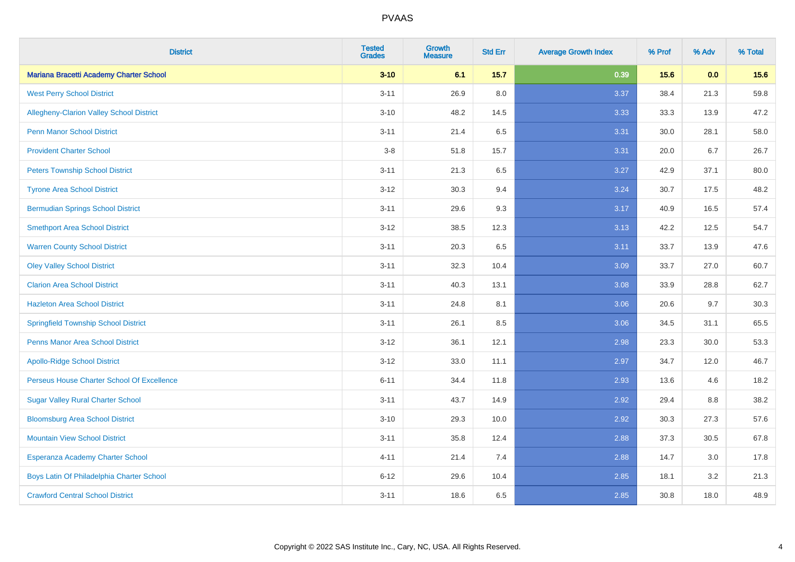| <b>District</b>                                 | <b>Tested</b><br><b>Grades</b> | Growth<br><b>Measure</b> | <b>Std Err</b> | <b>Average Growth Index</b> | % Prof | % Adv | % Total |
|-------------------------------------------------|--------------------------------|--------------------------|----------------|-----------------------------|--------|-------|---------|
| Mariana Bracetti Academy Charter School         | $3 - 10$                       | 6.1                      | 15.7           | 0.39                        | 15.6   | 0.0   | 15.6    |
| <b>West Perry School District</b>               | $3 - 11$                       | 26.9                     | 8.0            | 3.37                        | 38.4   | 21.3  | 59.8    |
| <b>Allegheny-Clarion Valley School District</b> | $3 - 10$                       | 48.2                     | 14.5           | 3.33                        | 33.3   | 13.9  | 47.2    |
| <b>Penn Manor School District</b>               | $3 - 11$                       | 21.4                     | 6.5            | 3.31                        | 30.0   | 28.1  | 58.0    |
| <b>Provident Charter School</b>                 | $3-8$                          | 51.8                     | 15.7           | 3.31                        | 20.0   | 6.7   | 26.7    |
| <b>Peters Township School District</b>          | $3 - 11$                       | 21.3                     | 6.5            | 3.27                        | 42.9   | 37.1  | 80.0    |
| <b>Tyrone Area School District</b>              | $3 - 12$                       | 30.3                     | 9.4            | 3.24                        | 30.7   | 17.5  | 48.2    |
| <b>Bermudian Springs School District</b>        | $3 - 11$                       | 29.6                     | 9.3            | 3.17                        | 40.9   | 16.5  | 57.4    |
| <b>Smethport Area School District</b>           | $3 - 12$                       | 38.5                     | 12.3           | 3.13                        | 42.2   | 12.5  | 54.7    |
| <b>Warren County School District</b>            | $3 - 11$                       | 20.3                     | 6.5            | 3.11                        | 33.7   | 13.9  | 47.6    |
| <b>Oley Valley School District</b>              | $3 - 11$                       | 32.3                     | 10.4           | 3.09                        | 33.7   | 27.0  | 60.7    |
| <b>Clarion Area School District</b>             | $3 - 11$                       | 40.3                     | 13.1           | 3.08                        | 33.9   | 28.8  | 62.7    |
| <b>Hazleton Area School District</b>            | $3 - 11$                       | 24.8                     | 8.1            | 3.06                        | 20.6   | 9.7   | 30.3    |
| <b>Springfield Township School District</b>     | $3 - 11$                       | 26.1                     | 8.5            | 3.06                        | 34.5   | 31.1  | 65.5    |
| <b>Penns Manor Area School District</b>         | $3 - 12$                       | 36.1                     | 12.1           | 2.98                        | 23.3   | 30.0  | 53.3    |
| <b>Apollo-Ridge School District</b>             | $3 - 12$                       | 33.0                     | 11.1           | 2.97                        | 34.7   | 12.0  | 46.7    |
| Perseus House Charter School Of Excellence      | $6 - 11$                       | 34.4                     | 11.8           | 2.93                        | 13.6   | 4.6   | 18.2    |
| <b>Sugar Valley Rural Charter School</b>        | $3 - 11$                       | 43.7                     | 14.9           | 2.92                        | 29.4   | 8.8   | 38.2    |
| <b>Bloomsburg Area School District</b>          | $3 - 10$                       | 29.3                     | 10.0           | 2.92                        | 30.3   | 27.3  | 57.6    |
| <b>Mountain View School District</b>            | $3 - 11$                       | 35.8                     | 12.4           | 2.88                        | 37.3   | 30.5  | 67.8    |
| Esperanza Academy Charter School                | $4 - 11$                       | 21.4                     | 7.4            | 2.88                        | 14.7   | 3.0   | 17.8    |
| Boys Latin Of Philadelphia Charter School       | $6 - 12$                       | 29.6                     | 10.4           | 2.85                        | 18.1   | 3.2   | 21.3    |
| <b>Crawford Central School District</b>         | $3 - 11$                       | 18.6                     | 6.5            | 2.85                        | 30.8   | 18.0  | 48.9    |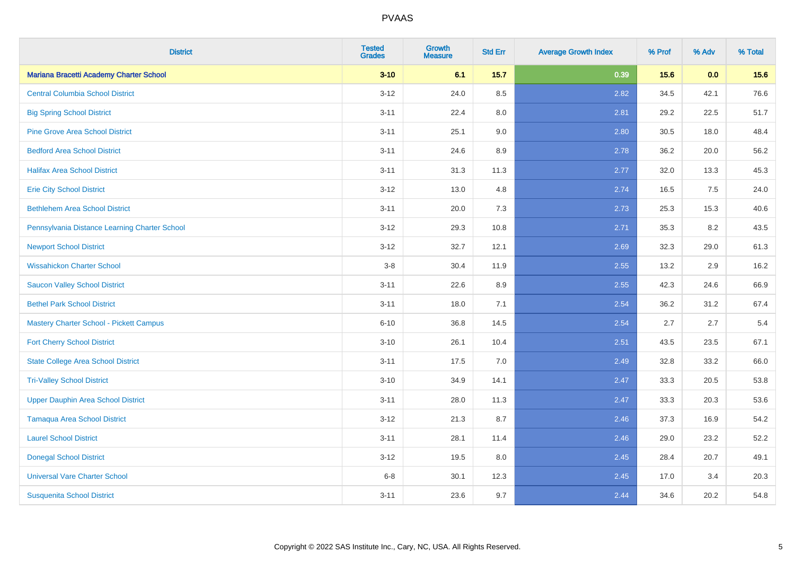| <b>District</b>                                | <b>Tested</b><br><b>Grades</b> | Growth<br><b>Measure</b> | <b>Std Err</b> | <b>Average Growth Index</b> | % Prof | % Adv | % Total |
|------------------------------------------------|--------------------------------|--------------------------|----------------|-----------------------------|--------|-------|---------|
| Mariana Bracetti Academy Charter School        | $3 - 10$                       | 6.1                      | 15.7           | 0.39                        | 15.6   | 0.0   | 15.6    |
| <b>Central Columbia School District</b>        | $3 - 12$                       | 24.0                     | 8.5            | 2.82                        | 34.5   | 42.1  | 76.6    |
| <b>Big Spring School District</b>              | $3 - 11$                       | 22.4                     | 8.0            | 2.81                        | 29.2   | 22.5  | 51.7    |
| <b>Pine Grove Area School District</b>         | $3 - 11$                       | 25.1                     | 9.0            | 2.80                        | 30.5   | 18.0  | 48.4    |
| <b>Bedford Area School District</b>            | $3 - 11$                       | 24.6                     | 8.9            | 2.78                        | 36.2   | 20.0  | 56.2    |
| <b>Halifax Area School District</b>            | $3 - 11$                       | 31.3                     | 11.3           | 2.77                        | 32.0   | 13.3  | 45.3    |
| <b>Erie City School District</b>               | $3 - 12$                       | 13.0                     | 4.8            | 2.74                        | 16.5   | 7.5   | 24.0    |
| <b>Bethlehem Area School District</b>          | $3 - 11$                       | 20.0                     | 7.3            | 2.73                        | 25.3   | 15.3  | 40.6    |
| Pennsylvania Distance Learning Charter School  | $3 - 12$                       | 29.3                     | 10.8           | 2.71                        | 35.3   | 8.2   | 43.5    |
| <b>Newport School District</b>                 | $3 - 12$                       | 32.7                     | 12.1           | 2.69                        | 32.3   | 29.0  | 61.3    |
| <b>Wissahickon Charter School</b>              | $3-8$                          | 30.4                     | 11.9           | 2.55                        | 13.2   | 2.9   | 16.2    |
| <b>Saucon Valley School District</b>           | $3 - 11$                       | 22.6                     | 8.9            | 2.55                        | 42.3   | 24.6  | 66.9    |
| <b>Bethel Park School District</b>             | $3 - 11$                       | 18.0                     | 7.1            | 2.54                        | 36.2   | 31.2  | 67.4    |
| <b>Mastery Charter School - Pickett Campus</b> | $6 - 10$                       | 36.8                     | 14.5           | 2.54                        | 2.7    | 2.7   | 5.4     |
| <b>Fort Cherry School District</b>             | $3 - 10$                       | 26.1                     | 10.4           | 2.51                        | 43.5   | 23.5  | 67.1    |
| <b>State College Area School District</b>      | $3 - 11$                       | 17.5                     | 7.0            | 2.49                        | 32.8   | 33.2  | 66.0    |
| <b>Tri-Valley School District</b>              | $3 - 10$                       | 34.9                     | 14.1           | 2.47                        | 33.3   | 20.5  | 53.8    |
| <b>Upper Dauphin Area School District</b>      | $3 - 11$                       | 28.0                     | 11.3           | 2.47                        | 33.3   | 20.3  | 53.6    |
| <b>Tamaqua Area School District</b>            | $3 - 12$                       | 21.3                     | 8.7            | 2.46                        | 37.3   | 16.9  | 54.2    |
| <b>Laurel School District</b>                  | $3 - 11$                       | 28.1                     | 11.4           | 2.46                        | 29.0   | 23.2  | 52.2    |
| <b>Donegal School District</b>                 | $3 - 12$                       | 19.5                     | 8.0            | 2.45                        | 28.4   | 20.7  | 49.1    |
| <b>Universal Vare Charter School</b>           | $6 - 8$                        | 30.1                     | 12.3           | 2.45                        | 17.0   | 3.4   | 20.3    |
| <b>Susquenita School District</b>              | $3 - 11$                       | 23.6                     | 9.7            | 2.44                        | 34.6   | 20.2  | 54.8    |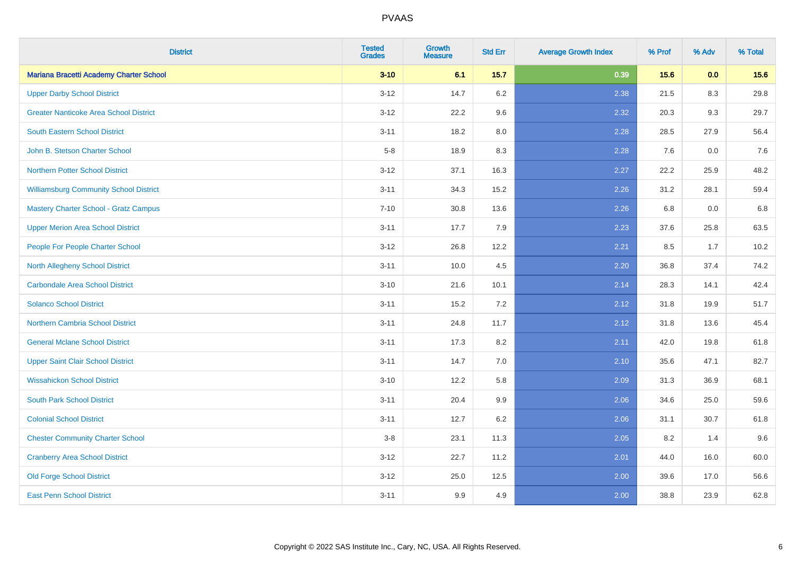| <b>District</b>                               | <b>Tested</b><br><b>Grades</b> | Growth<br><b>Measure</b> | <b>Std Err</b> | <b>Average Growth Index</b> | % Prof | % Adv | % Total |
|-----------------------------------------------|--------------------------------|--------------------------|----------------|-----------------------------|--------|-------|---------|
| Mariana Bracetti Academy Charter School       | $3 - 10$                       | 6.1                      | 15.7           | 0.39                        | 15.6   | 0.0   | 15.6    |
| <b>Upper Darby School District</b>            | $3 - 12$                       | 14.7                     | 6.2            | 2.38                        | 21.5   | 8.3   | 29.8    |
| <b>Greater Nanticoke Area School District</b> | $3 - 12$                       | 22.2                     | 9.6            | 2.32                        | 20.3   | 9.3   | 29.7    |
| <b>South Eastern School District</b>          | $3 - 11$                       | 18.2                     | 8.0            | 2.28                        | 28.5   | 27.9  | 56.4    |
| John B. Stetson Charter School                | $5-8$                          | 18.9                     | 8.3            | 2.28                        | 7.6    | 0.0   | 7.6     |
| Northern Potter School District               | $3 - 12$                       | 37.1                     | 16.3           | 2.27                        | 22.2   | 25.9  | 48.2    |
| <b>Williamsburg Community School District</b> | $3 - 11$                       | 34.3                     | 15.2           | 2.26                        | 31.2   | 28.1  | 59.4    |
| <b>Mastery Charter School - Gratz Campus</b>  | $7 - 10$                       | 30.8                     | 13.6           | 2.26                        | 6.8    | 0.0   | $6.8\,$ |
| <b>Upper Merion Area School District</b>      | $3 - 11$                       | 17.7                     | 7.9            | 2.23                        | 37.6   | 25.8  | 63.5    |
| People For People Charter School              | $3 - 12$                       | 26.8                     | 12.2           | 2.21                        | 8.5    | 1.7   | 10.2    |
| <b>North Allegheny School District</b>        | $3 - 11$                       | 10.0                     | 4.5            | 2.20                        | 36.8   | 37.4  | 74.2    |
| <b>Carbondale Area School District</b>        | $3 - 10$                       | 21.6                     | 10.1           | 2.14                        | 28.3   | 14.1  | 42.4    |
| <b>Solanco School District</b>                | $3 - 11$                       | 15.2                     | 7.2            | 2.12                        | 31.8   | 19.9  | 51.7    |
| <b>Northern Cambria School District</b>       | $3 - 11$                       | 24.8                     | 11.7           | 2.12                        | 31.8   | 13.6  | 45.4    |
| <b>General Mclane School District</b>         | $3 - 11$                       | 17.3                     | 8.2            | 2.11                        | 42.0   | 19.8  | 61.8    |
| <b>Upper Saint Clair School District</b>      | $3 - 11$                       | 14.7                     | $7.0$          | 2.10                        | 35.6   | 47.1  | 82.7    |
| <b>Wissahickon School District</b>            | $3 - 10$                       | 12.2                     | 5.8            | 2.09                        | 31.3   | 36.9  | 68.1    |
| <b>South Park School District</b>             | $3 - 11$                       | 20.4                     | 9.9            | 2.06                        | 34.6   | 25.0  | 59.6    |
| <b>Colonial School District</b>               | $3 - 11$                       | 12.7                     | 6.2            | 2.06                        | 31.1   | 30.7  | 61.8    |
| <b>Chester Community Charter School</b>       | $3 - 8$                        | 23.1                     | 11.3           | 2.05                        | 8.2    | 1.4   | 9.6     |
| <b>Cranberry Area School District</b>         | $3 - 12$                       | 22.7                     | 11.2           | 2.01                        | 44.0   | 16.0  | 60.0    |
| <b>Old Forge School District</b>              | $3 - 12$                       | 25.0                     | 12.5           | 2.00                        | 39.6   | 17.0  | 56.6    |
| <b>East Penn School District</b>              | $3 - 11$                       | 9.9                      | 4.9            | 2.00                        | 38.8   | 23.9  | 62.8    |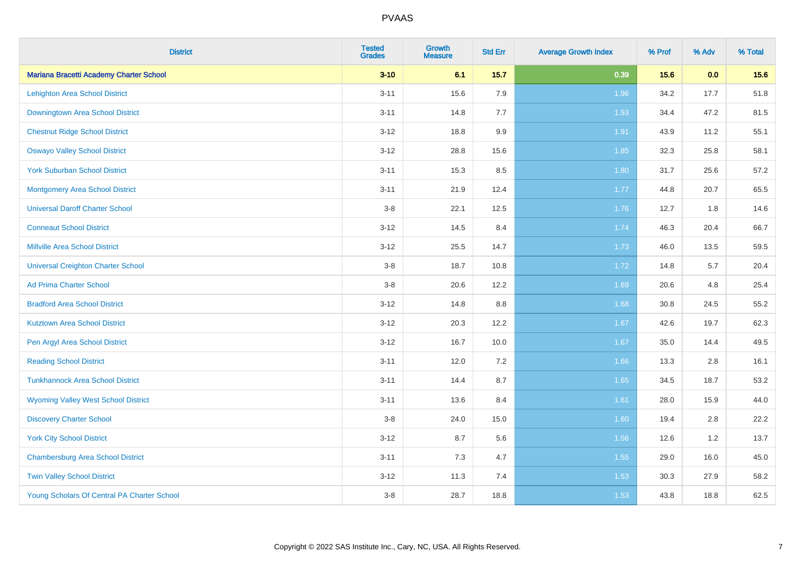| <b>District</b>                             | <b>Tested</b><br><b>Grades</b> | Growth<br><b>Measure</b> | <b>Std Err</b> | <b>Average Growth Index</b> | % Prof | % Adv | % Total |
|---------------------------------------------|--------------------------------|--------------------------|----------------|-----------------------------|--------|-------|---------|
| Mariana Bracetti Academy Charter School     | $3 - 10$                       | 6.1                      | 15.7           | 0.39                        | 15.6   | 0.0   | 15.6    |
| Lehighton Area School District              | $3 - 11$                       | 15.6                     | 7.9            | 1.96                        | 34.2   | 17.7  | 51.8    |
| Downingtown Area School District            | $3 - 11$                       | 14.8                     | 7.7            | 1.93                        | 34.4   | 47.2  | 81.5    |
| <b>Chestnut Ridge School District</b>       | $3 - 12$                       | 18.8                     | 9.9            | 1.91                        | 43.9   | 11.2  | 55.1    |
| <b>Oswayo Valley School District</b>        | $3 - 12$                       | 28.8                     | 15.6           | 1.85                        | 32.3   | 25.8  | 58.1    |
| <b>York Suburban School District</b>        | $3 - 11$                       | 15.3                     | 8.5            | 1.80                        | 31.7   | 25.6  | 57.2    |
| <b>Montgomery Area School District</b>      | $3 - 11$                       | 21.9                     | 12.4           | 1.77                        | 44.8   | 20.7  | 65.5    |
| <b>Universal Daroff Charter School</b>      | $3 - 8$                        | 22.1                     | 12.5           | 1.76                        | 12.7   | 1.8   | 14.6    |
| <b>Conneaut School District</b>             | $3 - 12$                       | 14.5                     | 8.4            | 1.74                        | 46.3   | 20.4  | 66.7    |
| <b>Millville Area School District</b>       | $3 - 12$                       | 25.5                     | 14.7           | 1.73                        | 46.0   | 13.5  | 59.5    |
| <b>Universal Creighton Charter School</b>   | $3 - 8$                        | 18.7                     | 10.8           | 1.72                        | 14.8   | 5.7   | 20.4    |
| <b>Ad Prima Charter School</b>              | $3-8$                          | 20.6                     | 12.2           | 1.69                        | 20.6   | 4.8   | 25.4    |
| <b>Bradford Area School District</b>        | $3 - 12$                       | 14.8                     | 8.8            | 1.68                        | 30.8   | 24.5  | 55.2    |
| <b>Kutztown Area School District</b>        | $3 - 12$                       | 20.3                     | 12.2           | 1.67                        | 42.6   | 19.7  | 62.3    |
| Pen Argyl Area School District              | $3 - 12$                       | 16.7                     | 10.0           | 1.67                        | 35.0   | 14.4  | 49.5    |
| <b>Reading School District</b>              | $3 - 11$                       | 12.0                     | 7.2            | 1.66                        | 13.3   | 2.8   | 16.1    |
| <b>Tunkhannock Area School District</b>     | $3 - 11$                       | 14.4                     | 8.7            | 1.65                        | 34.5   | 18.7  | 53.2    |
| <b>Wyoming Valley West School District</b>  | $3 - 11$                       | 13.6                     | 8.4            | 1.61                        | 28.0   | 15.9  | 44.0    |
| <b>Discovery Charter School</b>             | $3 - 8$                        | 24.0                     | 15.0           | 1.60                        | 19.4   | 2.8   | 22.2    |
| <b>York City School District</b>            | $3 - 12$                       | 8.7                      | 5.6            | 1.56                        | 12.6   | 1.2   | 13.7    |
| <b>Chambersburg Area School District</b>    | $3 - 11$                       | 7.3                      | 4.7            | 1.55                        | 29.0   | 16.0  | 45.0    |
| <b>Twin Valley School District</b>          | $3 - 12$                       | 11.3                     | 7.4            | 1.53                        | 30.3   | 27.9  | 58.2    |
| Young Scholars Of Central PA Charter School | $3 - 8$                        | 28.7                     | 18.8           | 1.53                        | 43.8   | 18.8  | 62.5    |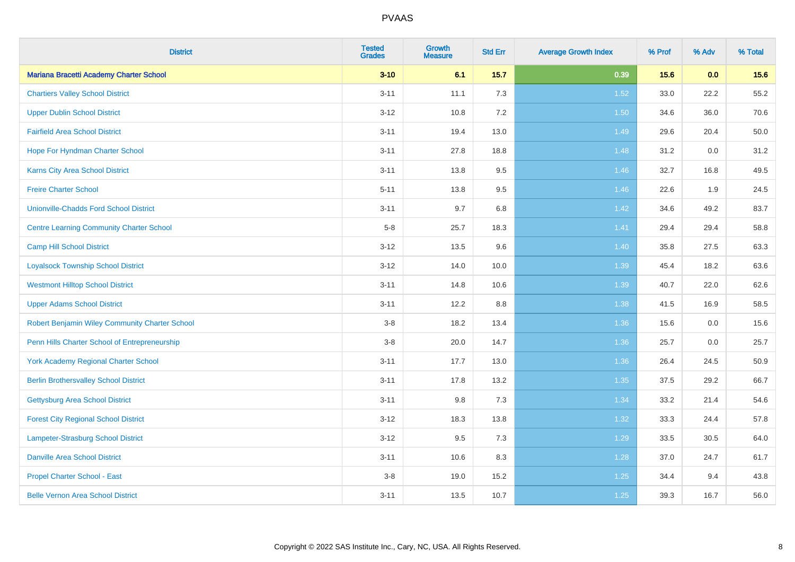| <b>District</b>                                 | <b>Tested</b><br><b>Grades</b> | Growth<br><b>Measure</b> | <b>Std Err</b> | <b>Average Growth Index</b> | % Prof | % Adv | % Total |
|-------------------------------------------------|--------------------------------|--------------------------|----------------|-----------------------------|--------|-------|---------|
| Mariana Bracetti Academy Charter School         | $3 - 10$                       | 6.1                      | 15.7           | 0.39                        | 15.6   | 0.0   | 15.6    |
| <b>Chartiers Valley School District</b>         | $3 - 11$                       | 11.1                     | 7.3            | 1.52                        | 33.0   | 22.2  | 55.2    |
| <b>Upper Dublin School District</b>             | $3 - 12$                       | 10.8                     | 7.2            | 1.50                        | 34.6   | 36.0  | 70.6    |
| <b>Fairfield Area School District</b>           | $3 - 11$                       | 19.4                     | 13.0           | 1.49                        | 29.6   | 20.4  | 50.0    |
| Hope For Hyndman Charter School                 | $3 - 11$                       | 27.8                     | 18.8           | 1.48                        | 31.2   | 0.0   | 31.2    |
| Karns City Area School District                 | $3 - 11$                       | 13.8                     | 9.5            | 1.46                        | 32.7   | 16.8  | 49.5    |
| <b>Freire Charter School</b>                    | $5 - 11$                       | 13.8                     | 9.5            | 1.46                        | 22.6   | 1.9   | 24.5    |
| <b>Unionville-Chadds Ford School District</b>   | $3 - 11$                       | 9.7                      | 6.8            | 1.42                        | 34.6   | 49.2  | 83.7    |
| <b>Centre Learning Community Charter School</b> | $5-8$                          | 25.7                     | 18.3           | 1.41                        | 29.4   | 29.4  | 58.8    |
| <b>Camp Hill School District</b>                | $3 - 12$                       | 13.5                     | 9.6            | 1.40                        | 35.8   | 27.5  | 63.3    |
| <b>Loyalsock Township School District</b>       | $3 - 12$                       | 14.0                     | 10.0           | 1.39                        | 45.4   | 18.2  | 63.6    |
| <b>Westmont Hilltop School District</b>         | $3 - 11$                       | 14.8                     | 10.6           | 1.39                        | 40.7   | 22.0  | 62.6    |
| <b>Upper Adams School District</b>              | $3 - 11$                       | 12.2                     | 8.8            | 1.38                        | 41.5   | 16.9  | 58.5    |
| Robert Benjamin Wiley Community Charter School  | $3-8$                          | 18.2                     | 13.4           | 1.36                        | 15.6   | 0.0   | 15.6    |
| Penn Hills Charter School of Entrepreneurship   | $3-8$                          | 20.0                     | 14.7           | 1.36                        | 25.7   | 0.0   | 25.7    |
| <b>York Academy Regional Charter School</b>     | $3 - 11$                       | 17.7                     | 13.0           | 1.36                        | 26.4   | 24.5  | 50.9    |
| <b>Berlin Brothersvalley School District</b>    | $3 - 11$                       | 17.8                     | 13.2           | 1.35                        | 37.5   | 29.2  | 66.7    |
| Gettysburg Area School District                 | $3 - 11$                       | 9.8                      | 7.3            | 1.34                        | 33.2   | 21.4  | 54.6    |
| <b>Forest City Regional School District</b>     | $3 - 12$                       | 18.3                     | 13.8           | 1.32                        | 33.3   | 24.4  | 57.8    |
| <b>Lampeter-Strasburg School District</b>       | $3 - 12$                       | 9.5                      | 7.3            | 1.29                        | 33.5   | 30.5  | 64.0    |
| <b>Danville Area School District</b>            | $3 - 11$                       | 10.6                     | 8.3            | 1.28                        | 37.0   | 24.7  | 61.7    |
| Propel Charter School - East                    | $3-8$                          | 19.0                     | 15.2           | 1.25                        | 34.4   | 9.4   | 43.8    |
| <b>Belle Vernon Area School District</b>        | $3 - 11$                       | 13.5                     | 10.7           | $1.25$                      | 39.3   | 16.7  | 56.0    |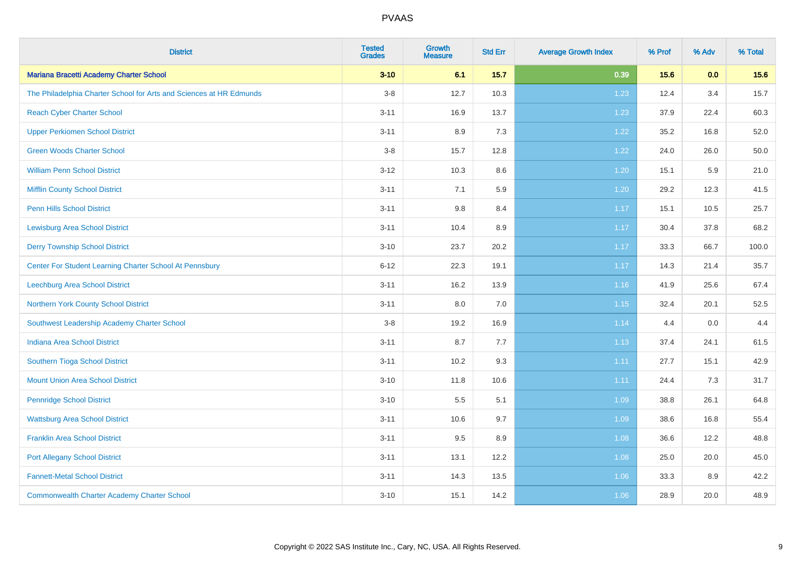| <b>District</b>                                                     | <b>Tested</b><br><b>Grades</b> | Growth<br><b>Measure</b> | <b>Std Err</b> | <b>Average Growth Index</b> | % Prof | % Adv | % Total |
|---------------------------------------------------------------------|--------------------------------|--------------------------|----------------|-----------------------------|--------|-------|---------|
| Mariana Bracetti Academy Charter School                             | $3 - 10$                       | 6.1                      | 15.7           | 0.39                        | 15.6   | 0.0   | 15.6    |
| The Philadelphia Charter School for Arts and Sciences at HR Edmunds | $3-8$                          | 12.7                     | 10.3           | 1.23                        | 12.4   | 3.4   | 15.7    |
| <b>Reach Cyber Charter School</b>                                   | $3 - 11$                       | 16.9                     | 13.7           | 1.23                        | 37.9   | 22.4  | 60.3    |
| <b>Upper Perkiomen School District</b>                              | $3 - 11$                       | 8.9                      | 7.3            | 1.22                        | 35.2   | 16.8  | 52.0    |
| <b>Green Woods Charter School</b>                                   | $3 - 8$                        | 15.7                     | 12.8           | 1.22                        | 24.0   | 26.0  | 50.0    |
| <b>William Penn School District</b>                                 | $3 - 12$                       | 10.3                     | 8.6            | 1.20                        | 15.1   | 5.9   | 21.0    |
| <b>Mifflin County School District</b>                               | $3 - 11$                       | 7.1                      | 5.9            | 1.20                        | 29.2   | 12.3  | 41.5    |
| <b>Penn Hills School District</b>                                   | $3 - 11$                       | $9.8\,$                  | 8.4            | 1.17                        | 15.1   | 10.5  | 25.7    |
| <b>Lewisburg Area School District</b>                               | $3 - 11$                       | 10.4                     | 8.9            | 1.17                        | 30.4   | 37.8  | 68.2    |
| <b>Derry Township School District</b>                               | $3 - 10$                       | 23.7                     | 20.2           | 1.17                        | 33.3   | 66.7  | 100.0   |
| Center For Student Learning Charter School At Pennsbury             | $6 - 12$                       | 22.3                     | 19.1           | 1.17                        | 14.3   | 21.4  | 35.7    |
| Leechburg Area School District                                      | $3 - 11$                       | 16.2                     | 13.9           | 1.16                        | 41.9   | 25.6  | 67.4    |
| Northern York County School District                                | $3 - 11$                       | 8.0                      | 7.0            | 1.15                        | 32.4   | 20.1  | 52.5    |
| Southwest Leadership Academy Charter School                         | $3 - 8$                        | 19.2                     | 16.9           | 1.14                        | 4.4    | 0.0   | 4.4     |
| <b>Indiana Area School District</b>                                 | $3 - 11$                       | 8.7                      | 7.7            | 1.13                        | 37.4   | 24.1  | 61.5    |
| Southern Tioga School District                                      | $3 - 11$                       | 10.2                     | 9.3            | 1.11                        | 27.7   | 15.1  | 42.9    |
| <b>Mount Union Area School District</b>                             | $3 - 10$                       | 11.8                     | 10.6           | 1.11                        | 24.4   | 7.3   | 31.7    |
| <b>Pennridge School District</b>                                    | $3 - 10$                       | 5.5                      | 5.1            | 1.09                        | 38.8   | 26.1  | 64.8    |
| <b>Wattsburg Area School District</b>                               | $3 - 11$                       | 10.6                     | 9.7            | 1.09                        | 38.6   | 16.8  | 55.4    |
| <b>Franklin Area School District</b>                                | $3 - 11$                       | 9.5                      | 8.9            | 1.08                        | 36.6   | 12.2  | 48.8    |
| <b>Port Allegany School District</b>                                | $3 - 11$                       | 13.1                     | 12.2           | 1.08                        | 25.0   | 20.0  | 45.0    |
| <b>Fannett-Metal School District</b>                                | $3 - 11$                       | 14.3                     | 13.5           | 1.06                        | 33.3   | 8.9   | 42.2    |
| <b>Commonwealth Charter Academy Charter School</b>                  | $3 - 10$                       | 15.1                     | 14.2           | 1.06                        | 28.9   | 20.0  | 48.9    |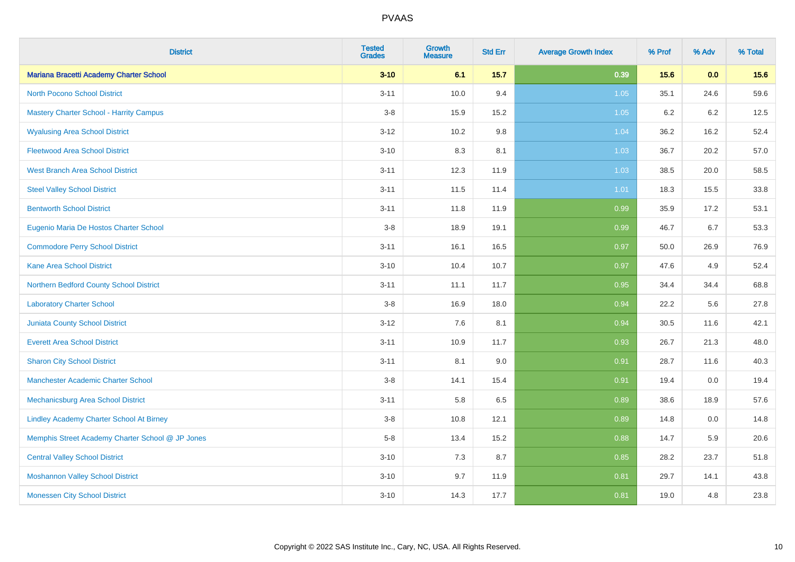| <b>District</b>                                  | <b>Tested</b><br><b>Grades</b> | <b>Growth</b><br><b>Measure</b> | <b>Std Err</b> | <b>Average Growth Index</b> | % Prof | % Adv | % Total |
|--------------------------------------------------|--------------------------------|---------------------------------|----------------|-----------------------------|--------|-------|---------|
| Mariana Bracetti Academy Charter School          | $3 - 10$                       | 6.1                             | $15.7$         | 0.39                        | 15.6   | 0.0   | 15.6    |
| <b>North Pocono School District</b>              | $3 - 11$                       | 10.0                            | 9.4            | 1.05                        | 35.1   | 24.6  | 59.6    |
| <b>Mastery Charter School - Harrity Campus</b>   | $3-8$                          | 15.9                            | 15.2           | $1.05$                      | 6.2    | 6.2   | 12.5    |
| <b>Wyalusing Area School District</b>            | $3 - 12$                       | 10.2                            | 9.8            | 1.04                        | 36.2   | 16.2  | 52.4    |
| <b>Fleetwood Area School District</b>            | $3 - 10$                       | 8.3                             | 8.1            | 1.03                        | 36.7   | 20.2  | 57.0    |
| <b>West Branch Area School District</b>          | $3 - 11$                       | 12.3                            | 11.9           | 1.03                        | 38.5   | 20.0  | 58.5    |
| <b>Steel Valley School District</b>              | $3 - 11$                       | 11.5                            | 11.4           | 1.01                        | 18.3   | 15.5  | 33.8    |
| <b>Bentworth School District</b>                 | $3 - 11$                       | 11.8                            | 11.9           | 0.99                        | 35.9   | 17.2  | 53.1    |
| Eugenio Maria De Hostos Charter School           | $3-8$                          | 18.9                            | 19.1           | 0.99                        | 46.7   | 6.7   | 53.3    |
| <b>Commodore Perry School District</b>           | $3 - 11$                       | 16.1                            | 16.5           | 0.97                        | 50.0   | 26.9  | 76.9    |
| <b>Kane Area School District</b>                 | $3 - 10$                       | 10.4                            | 10.7           | 0.97                        | 47.6   | 4.9   | 52.4    |
| Northern Bedford County School District          | $3 - 11$                       | 11.1                            | 11.7           | 0.95                        | 34.4   | 34.4  | 68.8    |
| <b>Laboratory Charter School</b>                 | $3 - 8$                        | 16.9                            | 18.0           | 0.94                        | 22.2   | 5.6   | 27.8    |
| <b>Juniata County School District</b>            | $3 - 12$                       | 7.6                             | 8.1            | 0.94                        | 30.5   | 11.6  | 42.1    |
| <b>Everett Area School District</b>              | $3 - 11$                       | 10.9                            | 11.7           | 0.93                        | 26.7   | 21.3  | 48.0    |
| <b>Sharon City School District</b>               | $3 - 11$                       | 8.1                             | 9.0            | 0.91                        | 28.7   | 11.6  | 40.3    |
| <b>Manchester Academic Charter School</b>        | $3-8$                          | 14.1                            | 15.4           | 0.91                        | 19.4   | 0.0   | 19.4    |
| Mechanicsburg Area School District               | $3 - 11$                       | 5.8                             | 6.5            | 0.89                        | 38.6   | 18.9  | 57.6    |
| <b>Lindley Academy Charter School At Birney</b>  | $3-8$                          | 10.8                            | 12.1           | 0.89                        | 14.8   | 0.0   | 14.8    |
| Memphis Street Academy Charter School @ JP Jones | $5-8$                          | 13.4                            | 15.2           | 0.88                        | 14.7   | 5.9   | 20.6    |
| <b>Central Valley School District</b>            | $3 - 10$                       | 7.3                             | 8.7            | 0.85                        | 28.2   | 23.7  | 51.8    |
| <b>Moshannon Valley School District</b>          | $3 - 10$                       | 9.7                             | 11.9           | 0.81                        | 29.7   | 14.1  | 43.8    |
| <b>Monessen City School District</b>             | $3 - 10$                       | 14.3                            | 17.7           | 0.81                        | 19.0   | 4.8   | 23.8    |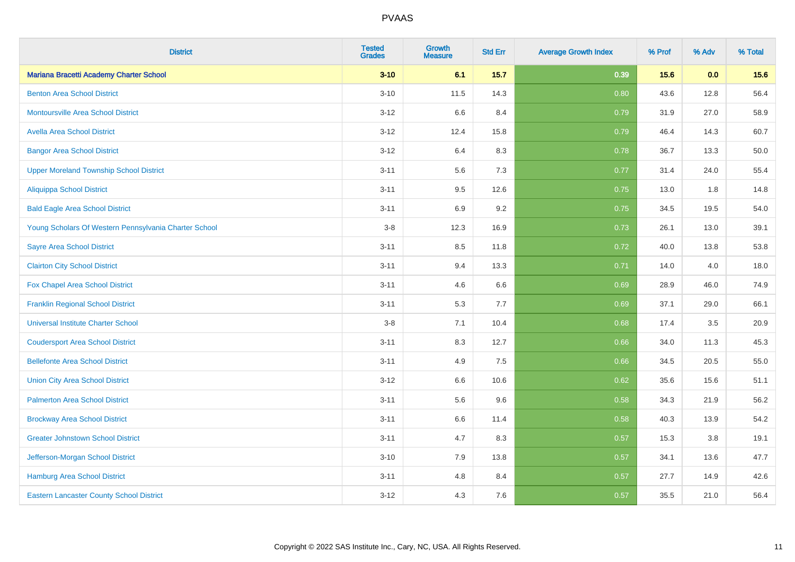| <b>District</b>                                       | <b>Tested</b><br><b>Grades</b> | Growth<br><b>Measure</b> | <b>Std Err</b> | <b>Average Growth Index</b> | % Prof | % Adv | % Total |
|-------------------------------------------------------|--------------------------------|--------------------------|----------------|-----------------------------|--------|-------|---------|
| Mariana Bracetti Academy Charter School               | $3 - 10$                       | 6.1                      | $15.7$         | 0.39                        | 15.6   | 0.0   | 15.6    |
| <b>Benton Area School District</b>                    | $3 - 10$                       | 11.5                     | 14.3           | 0.80                        | 43.6   | 12.8  | 56.4    |
| Montoursville Area School District                    | $3 - 12$                       | 6.6                      | 8.4            | 0.79                        | 31.9   | 27.0  | 58.9    |
| <b>Avella Area School District</b>                    | $3 - 12$                       | 12.4                     | 15.8           | 0.79                        | 46.4   | 14.3  | 60.7    |
| <b>Bangor Area School District</b>                    | $3 - 12$                       | 6.4                      | 8.3            | 0.78                        | 36.7   | 13.3  | 50.0    |
| <b>Upper Moreland Township School District</b>        | $3 - 11$                       | 5.6                      | 7.3            | 0.77                        | 31.4   | 24.0  | 55.4    |
| Aliquippa School District                             | $3 - 11$                       | 9.5                      | 12.6           | 0.75                        | 13.0   | 1.8   | 14.8    |
| <b>Bald Eagle Area School District</b>                | $3 - 11$                       | 6.9                      | 9.2            | 0.75                        | 34.5   | 19.5  | 54.0    |
| Young Scholars Of Western Pennsylvania Charter School | $3-8$                          | 12.3                     | 16.9           | 0.73                        | 26.1   | 13.0  | 39.1    |
| <b>Sayre Area School District</b>                     | $3 - 11$                       | 8.5                      | 11.8           | 0.72                        | 40.0   | 13.8  | 53.8    |
| <b>Clairton City School District</b>                  | $3 - 11$                       | 9.4                      | 13.3           | 0.71                        | 14.0   | 4.0   | 18.0    |
| Fox Chapel Area School District                       | $3 - 11$                       | 4.6                      | 6.6            | 0.69                        | 28.9   | 46.0  | 74.9    |
| <b>Franklin Regional School District</b>              | $3 - 11$                       | 5.3                      | 7.7            | 0.69                        | 37.1   | 29.0  | 66.1    |
| <b>Universal Institute Charter School</b>             | $3-8$                          | 7.1                      | 10.4           | 0.68                        | 17.4   | 3.5   | 20.9    |
| <b>Coudersport Area School District</b>               | $3 - 11$                       | 8.3                      | 12.7           | 0.66                        | 34.0   | 11.3  | 45.3    |
| <b>Bellefonte Area School District</b>                | $3 - 11$                       | 4.9                      | 7.5            | 0.66                        | 34.5   | 20.5  | 55.0    |
| <b>Union City Area School District</b>                | $3 - 12$                       | 6.6                      | 10.6           | 0.62                        | 35.6   | 15.6  | 51.1    |
| <b>Palmerton Area School District</b>                 | $3 - 11$                       | 5.6                      | 9.6            | 0.58                        | 34.3   | 21.9  | 56.2    |
| <b>Brockway Area School District</b>                  | $3 - 11$                       | 6.6                      | 11.4           | 0.58                        | 40.3   | 13.9  | 54.2    |
| <b>Greater Johnstown School District</b>              | $3 - 11$                       | 4.7                      | 8.3            | 0.57                        | 15.3   | 3.8   | 19.1    |
| Jefferson-Morgan School District                      | $3 - 10$                       | 7.9                      | 13.8           | 0.57                        | 34.1   | 13.6  | 47.7    |
| <b>Hamburg Area School District</b>                   | $3 - 11$                       | $4.8\,$                  | 8.4            | 0.57                        | 27.7   | 14.9  | 42.6    |
| <b>Eastern Lancaster County School District</b>       | $3 - 12$                       | 4.3                      | 7.6            | 0.57                        | 35.5   | 21.0  | 56.4    |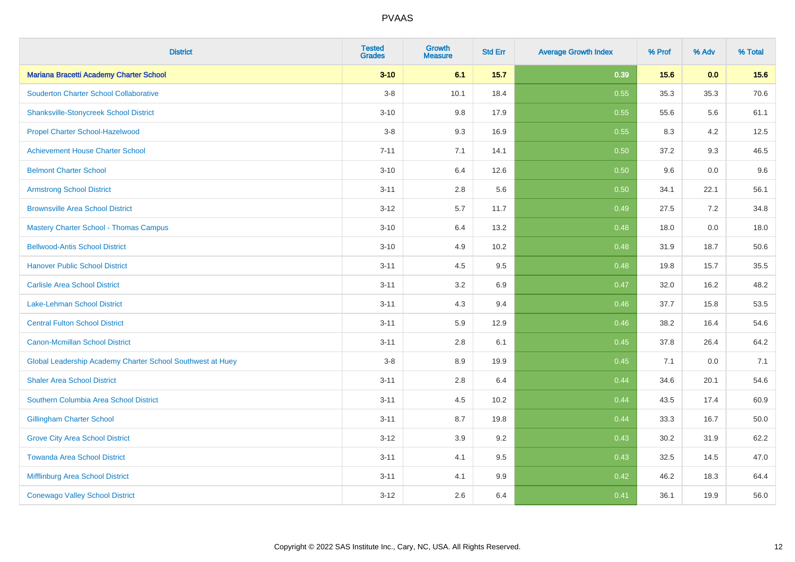| <b>District</b>                                            | <b>Tested</b><br><b>Grades</b> | <b>Growth</b><br><b>Measure</b> | <b>Std Err</b> | <b>Average Growth Index</b> | % Prof | % Adv | % Total |
|------------------------------------------------------------|--------------------------------|---------------------------------|----------------|-----------------------------|--------|-------|---------|
| Mariana Bracetti Academy Charter School                    | $3 - 10$                       | 6.1                             | $15.7$         | 0.39                        | 15.6   | 0.0   | 15.6    |
| <b>Souderton Charter School Collaborative</b>              | $3-8$                          | 10.1                            | 18.4           | 0.55                        | 35.3   | 35.3  | 70.6    |
| <b>Shanksville-Stonycreek School District</b>              | $3 - 10$                       | 9.8                             | 17.9           | 0.55                        | 55.6   | 5.6   | 61.1    |
| <b>Propel Charter School-Hazelwood</b>                     | $3-8$                          | 9.3                             | 16.9           | 0.55                        | 8.3    | 4.2   | 12.5    |
| <b>Achievement House Charter School</b>                    | $7 - 11$                       | 7.1                             | 14.1           | 0.50                        | 37.2   | 9.3   | 46.5    |
| <b>Belmont Charter School</b>                              | $3 - 10$                       | 6.4                             | 12.6           | 0.50                        | 9.6    | 0.0   | $9.6\,$ |
| <b>Armstrong School District</b>                           | $3 - 11$                       | 2.8                             | 5.6            | 0.50                        | 34.1   | 22.1  | 56.1    |
| <b>Brownsville Area School District</b>                    | $3 - 12$                       | 5.7                             | 11.7           | 0.49                        | 27.5   | 7.2   | 34.8    |
| <b>Mastery Charter School - Thomas Campus</b>              | $3 - 10$                       | 6.4                             | 13.2           | 0.48                        | 18.0   | 0.0   | 18.0    |
| <b>Bellwood-Antis School District</b>                      | $3 - 10$                       | 4.9                             | 10.2           | 0.48                        | 31.9   | 18.7  | 50.6    |
| <b>Hanover Public School District</b>                      | $3 - 11$                       | 4.5                             | 9.5            | 0.48                        | 19.8   | 15.7  | 35.5    |
| <b>Carlisle Area School District</b>                       | $3 - 11$                       | 3.2                             | 6.9            | 0.47                        | 32.0   | 16.2  | 48.2    |
| Lake-Lehman School District                                | $3 - 11$                       | 4.3                             | 9.4            | 0.46                        | 37.7   | 15.8  | 53.5    |
| <b>Central Fulton School District</b>                      | $3 - 11$                       | 5.9                             | 12.9           | 0.46                        | 38.2   | 16.4  | 54.6    |
| <b>Canon-Mcmillan School District</b>                      | $3 - 11$                       | $2.8\,$                         | 6.1            | 0.45                        | 37.8   | 26.4  | 64.2    |
| Global Leadership Academy Charter School Southwest at Huey | $3-8$                          | 8.9                             | 19.9           | 0.45                        | 7.1    | 0.0   | 7.1     |
| <b>Shaler Area School District</b>                         | $3 - 11$                       | 2.8                             | 6.4            | 0.44                        | 34.6   | 20.1  | 54.6    |
| Southern Columbia Area School District                     | $3 - 11$                       | 4.5                             | 10.2           | 0.44                        | 43.5   | 17.4  | 60.9    |
| <b>Gillingham Charter School</b>                           | $3 - 11$                       | 8.7                             | 19.8           | 0.44                        | 33.3   | 16.7  | 50.0    |
| <b>Grove City Area School District</b>                     | $3 - 12$                       | 3.9                             | 9.2            | 0.43                        | 30.2   | 31.9  | 62.2    |
| <b>Towanda Area School District</b>                        | $3 - 11$                       | 4.1                             | 9.5            | 0.43                        | 32.5   | 14.5  | 47.0    |
| Mifflinburg Area School District                           | $3 - 11$                       | 4.1                             | 9.9            | 0.42                        | 46.2   | 18.3  | 64.4    |
| <b>Conewago Valley School District</b>                     | $3 - 12$                       | 2.6                             | 6.4            | 0.41                        | 36.1   | 19.9  | 56.0    |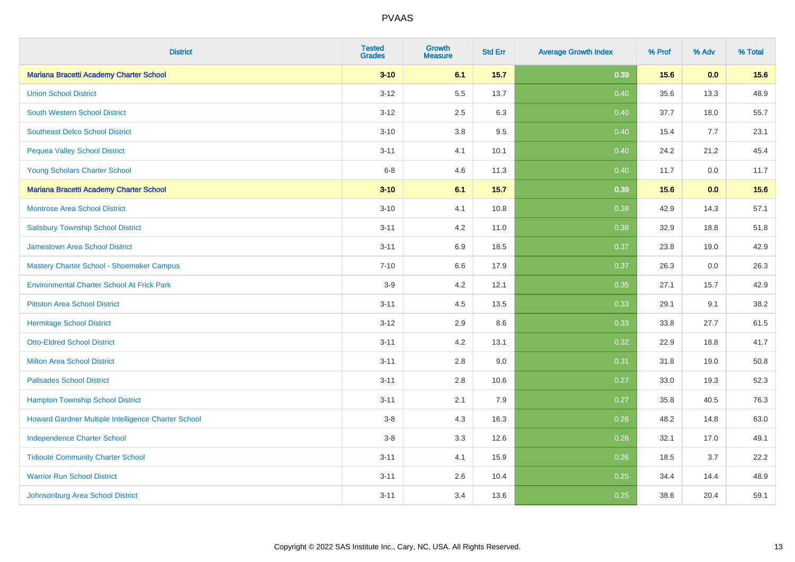| <b>District</b>                                     | <b>Tested</b><br><b>Grades</b> | Growth<br><b>Measure</b> | <b>Std Err</b> | <b>Average Growth Index</b> | % Prof | % Adv | % Total |
|-----------------------------------------------------|--------------------------------|--------------------------|----------------|-----------------------------|--------|-------|---------|
| Mariana Bracetti Academy Charter School             | $3 - 10$                       | 6.1                      | 15.7           | 0.39                        | 15.6   | 0.0   | 15.6    |
| <b>Union School District</b>                        | $3 - 12$                       | 5.5                      | 13.7           | 0.40                        | 35.6   | 13.3  | 48.9    |
| <b>South Western School District</b>                | $3 - 12$                       | 2.5                      | 6.3            | 0.40                        | 37.7   | 18.0  | 55.7    |
| <b>Southeast Delco School District</b>              | $3 - 10$                       | 3.8                      | 9.5            | 0.40                        | 15.4   | 7.7   | 23.1    |
| <b>Pequea Valley School District</b>                | $3 - 11$                       | 4.1                      | 10.1           | 0.40                        | 24.2   | 21.2  | 45.4    |
| Young Scholars Charter School                       | $6 - 8$                        | 4.6                      | 11.3           | 0.40                        | 11.7   | 0.0   | 11.7    |
| Mariana Bracetti Academy Charter School             | $3 - 10$                       | 6.1                      | 15.7           | 0.39                        | 15.6   | 0.0   | 15.6    |
| <b>Montrose Area School District</b>                | $3 - 10$                       | 4.1                      | 10.8           | 0.38                        | 42.9   | 14.3  | 57.1    |
| <b>Salisbury Township School District</b>           | $3 - 11$                       | 4.2                      | 11.0           | 0.38                        | 32.9   | 18.8  | 51.8    |
| <b>Jamestown Area School District</b>               | $3 - 11$                       | 6.9                      | 18.5           | 0.37                        | 23.8   | 19.0  | 42.9    |
| Mastery Charter School - Shoemaker Campus           | $7 - 10$                       | 6.6                      | 17.9           | 0.37                        | 26.3   | 0.0   | 26.3    |
| <b>Environmental Charter School At Frick Park</b>   | $3-9$                          | 4.2                      | 12.1           | 0.35                        | 27.1   | 15.7  | 42.9    |
| <b>Pittston Area School District</b>                | $3 - 11$                       | 4.5                      | 13.5           | 0.33                        | 29.1   | 9.1   | 38.2    |
| <b>Hermitage School District</b>                    | $3 - 12$                       | 2.9                      | 8.6            | 0.33                        | 33.8   | 27.7  | 61.5    |
| <b>Otto-Eldred School District</b>                  | $3 - 11$                       | 4.2                      | 13.1           | 0.32                        | 22.9   | 18.8  | 41.7    |
| <b>Milton Area School District</b>                  | $3 - 11$                       | $2.8\,$                  | 9.0            | 0.31                        | 31.8   | 19.0  | 50.8    |
| <b>Palisades School District</b>                    | $3 - 11$                       | 2.8                      | 10.6           | 0.27                        | 33.0   | 19.3  | 52.3    |
| <b>Hampton Township School District</b>             | $3 - 11$                       | 2.1                      | 7.9            | 0.27                        | 35.8   | 40.5  | 76.3    |
| Howard Gardner Multiple Intelligence Charter School | $3-8$                          | 4.3                      | 16.3           | 0.26                        | 48.2   | 14.8  | 63.0    |
| <b>Independence Charter School</b>                  | $3 - 8$                        | 3.3                      | 12.6           | 0.26                        | 32.1   | 17.0  | 49.1    |
| <b>Tidioute Community Charter School</b>            | $3 - 11$                       | 4.1                      | 15.9           | 0.26                        | 18.5   | 3.7   | 22.2    |
| <b>Warrior Run School District</b>                  | $3 - 11$                       | 2.6                      | 10.4           | 0.25                        | 34.4   | 14.4  | 48.9    |
| Johnsonburg Area School District                    | $3 - 11$                       | 3.4                      | 13.6           | 0.25                        | 38.6   | 20.4  | 59.1    |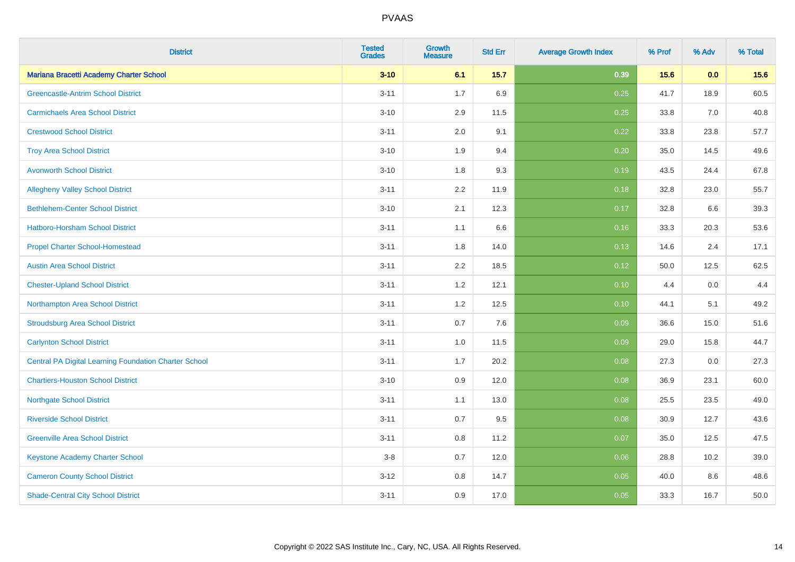| <b>District</b>                                              | <b>Tested</b><br><b>Grades</b> | Growth<br><b>Measure</b> | <b>Std Err</b> | <b>Average Growth Index</b> | % Prof | % Adv | % Total |
|--------------------------------------------------------------|--------------------------------|--------------------------|----------------|-----------------------------|--------|-------|---------|
| Mariana Bracetti Academy Charter School                      | $3 - 10$                       | 6.1                      | 15.7           | 0.39                        | 15.6   | 0.0   | 15.6    |
| <b>Greencastle-Antrim School District</b>                    | $3 - 11$                       | 1.7                      | 6.9            | 0.25                        | 41.7   | 18.9  | 60.5    |
| <b>Carmichaels Area School District</b>                      | $3 - 10$                       | 2.9                      | 11.5           | 0.25                        | 33.8   | 7.0   | 40.8    |
| <b>Crestwood School District</b>                             | $3 - 11$                       | 2.0                      | 9.1            | 0.22                        | 33.8   | 23.8  | 57.7    |
| <b>Troy Area School District</b>                             | $3 - 10$                       | 1.9                      | 9.4            | 0.20                        | 35.0   | 14.5  | 49.6    |
| <b>Avonworth School District</b>                             | $3 - 10$                       | 1.8                      | 9.3            | 0.19                        | 43.5   | 24.4  | 67.8    |
| <b>Allegheny Valley School District</b>                      | $3 - 11$                       | 2.2                      | 11.9           | 0.18                        | 32.8   | 23.0  | 55.7    |
| <b>Bethlehem-Center School District</b>                      | $3 - 10$                       | 2.1                      | 12.3           | 0.17                        | 32.8   | 6.6   | 39.3    |
| Hatboro-Horsham School District                              | $3 - 11$                       | 1.1                      | 6.6            | 0.16                        | 33.3   | 20.3  | 53.6    |
| <b>Propel Charter School-Homestead</b>                       | $3 - 11$                       | 1.8                      | 14.0           | 0.13                        | 14.6   | 2.4   | 17.1    |
| <b>Austin Area School District</b>                           | $3 - 11$                       | 2.2                      | 18.5           | 0.12                        | 50.0   | 12.5  | 62.5    |
| <b>Chester-Upland School District</b>                        | $3 - 11$                       | 1.2                      | 12.1           | 0.10                        | 4.4    | 0.0   | 4.4     |
| Northampton Area School District                             | $3 - 11$                       | $1.2$                    | 12.5           | 0.10                        | 44.1   | 5.1   | 49.2    |
| <b>Stroudsburg Area School District</b>                      | $3 - 11$                       | 0.7                      | 7.6            | 0.09                        | 36.6   | 15.0  | 51.6    |
| <b>Carlynton School District</b>                             | $3 - 11$                       | $1.0$                    | 11.5           | 0.09                        | 29.0   | 15.8  | 44.7    |
| <b>Central PA Digital Learning Foundation Charter School</b> | $3 - 11$                       | 1.7                      | 20.2           | 0.08                        | 27.3   | 0.0   | 27.3    |
| <b>Chartiers-Houston School District</b>                     | $3 - 10$                       | 0.9                      | 12.0           | 0.08                        | 36.9   | 23.1  | 60.0    |
| <b>Northgate School District</b>                             | $3 - 11$                       | 1.1                      | 13.0           | 0.08                        | 25.5   | 23.5  | 49.0    |
| <b>Riverside School District</b>                             | $3 - 11$                       | 0.7                      | 9.5            | 0.08                        | 30.9   | 12.7  | 43.6    |
| <b>Greenville Area School District</b>                       | $3 - 11$                       | $0.8\,$                  | 11.2           | 0.07                        | 35.0   | 12.5  | 47.5    |
| Keystone Academy Charter School                              | $3-8$                          | 0.7                      | 12.0           | 0.06                        | 28.8   | 10.2  | 39.0    |
| <b>Cameron County School District</b>                        | $3 - 12$                       | 0.8                      | 14.7           | 0.05                        | 40.0   | 8.6   | 48.6    |
| <b>Shade-Central City School District</b>                    | $3 - 11$                       | 0.9                      | 17.0           | 0.05                        | 33.3   | 16.7  | 50.0    |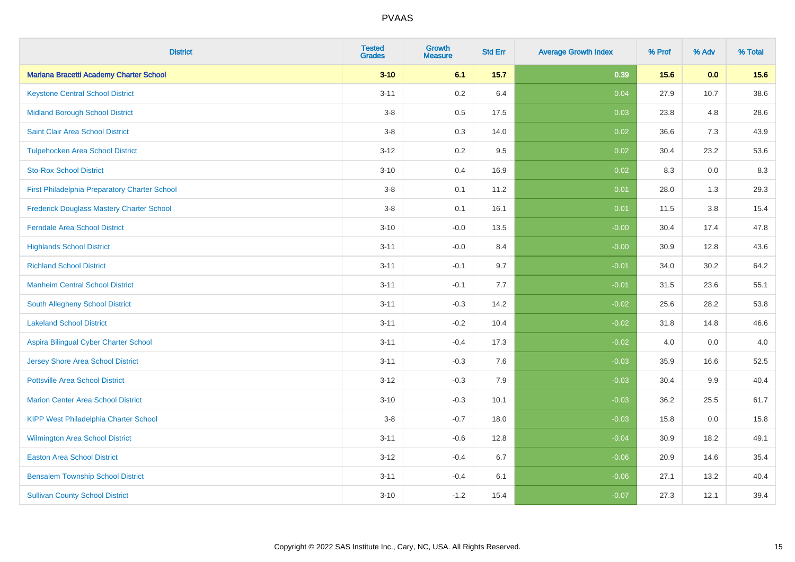| <b>District</b>                               | <b>Tested</b><br><b>Grades</b> | Growth<br><b>Measure</b> | <b>Std Err</b> | <b>Average Growth Index</b> | % Prof | % Adv | % Total |
|-----------------------------------------------|--------------------------------|--------------------------|----------------|-----------------------------|--------|-------|---------|
| Mariana Bracetti Academy Charter School       | $3 - 10$                       | 6.1                      | 15.7           | 0.39                        | 15.6   | 0.0   | 15.6    |
| <b>Keystone Central School District</b>       | $3 - 11$                       | $0.2\,$                  | 6.4            | 0.04                        | 27.9   | 10.7  | 38.6    |
| <b>Midland Borough School District</b>        | $3-8$                          | 0.5                      | 17.5           | 0.03                        | 23.8   | 4.8   | 28.6    |
| Saint Clair Area School District              | $3 - 8$                        | 0.3                      | 14.0           | 0.02                        | 36.6   | 7.3   | 43.9    |
| <b>Tulpehocken Area School District</b>       | $3 - 12$                       | 0.2                      | 9.5            | 0.02                        | 30.4   | 23.2  | 53.6    |
| <b>Sto-Rox School District</b>                | $3 - 10$                       | 0.4                      | 16.9           | 0.02                        | 8.3    | 0.0   | 8.3     |
| First Philadelphia Preparatory Charter School | $3-8$                          | 0.1                      | 11.2           | 0.01                        | 28.0   | 1.3   | 29.3    |
| Frederick Douglass Mastery Charter School     | $3 - 8$                        | 0.1                      | 16.1           | 0.01                        | 11.5   | 3.8   | 15.4    |
| <b>Ferndale Area School District</b>          | $3 - 10$                       | $-0.0$                   | 13.5           | $-0.00$                     | 30.4   | 17.4  | 47.8    |
| <b>Highlands School District</b>              | $3 - 11$                       | $-0.0$                   | 8.4            | $-0.00$                     | 30.9   | 12.8  | 43.6    |
| <b>Richland School District</b>               | $3 - 11$                       | $-0.1$                   | 9.7            | $-0.01$                     | 34.0   | 30.2  | 64.2    |
| <b>Manheim Central School District</b>        | $3 - 11$                       | $-0.1$                   | 7.7            | $-0.01$                     | 31.5   | 23.6  | 55.1    |
| South Allegheny School District               | $3 - 11$                       | $-0.3$                   | 14.2           | $-0.02$                     | 25.6   | 28.2  | 53.8    |
| <b>Lakeland School District</b>               | $3 - 11$                       | $-0.2$                   | 10.4           | $-0.02$                     | 31.8   | 14.8  | 46.6    |
| Aspira Bilingual Cyber Charter School         | $3 - 11$                       | $-0.4$                   | 17.3           | $-0.02$                     | 4.0    | 0.0   | 4.0     |
| Jersey Shore Area School District             | $3 - 11$                       | $-0.3$                   | 7.6            | $-0.03$                     | 35.9   | 16.6  | 52.5    |
| <b>Pottsville Area School District</b>        | $3 - 12$                       | $-0.3$                   | 7.9            | $-0.03$                     | 30.4   | 9.9   | 40.4    |
| <b>Marion Center Area School District</b>     | $3 - 10$                       | $-0.3$                   | 10.1           | $-0.03$                     | 36.2   | 25.5  | 61.7    |
| <b>KIPP West Philadelphia Charter School</b>  | $3-8$                          | $-0.7$                   | 18.0           | $-0.03$                     | 15.8   | 0.0   | 15.8    |
| <b>Wilmington Area School District</b>        | $3 - 11$                       | $-0.6$                   | 12.8           | $-0.04$                     | 30.9   | 18.2  | 49.1    |
| <b>Easton Area School District</b>            | $3 - 12$                       | $-0.4$                   | 6.7            | $-0.06$                     | 20.9   | 14.6  | 35.4    |
| <b>Bensalem Township School District</b>      | $3 - 11$                       | $-0.4$                   | 6.1            | $-0.06$                     | 27.1   | 13.2  | 40.4    |
| <b>Sullivan County School District</b>        | $3 - 10$                       | $-1.2$                   | 15.4           | $-0.07$                     | 27.3   | 12.1  | 39.4    |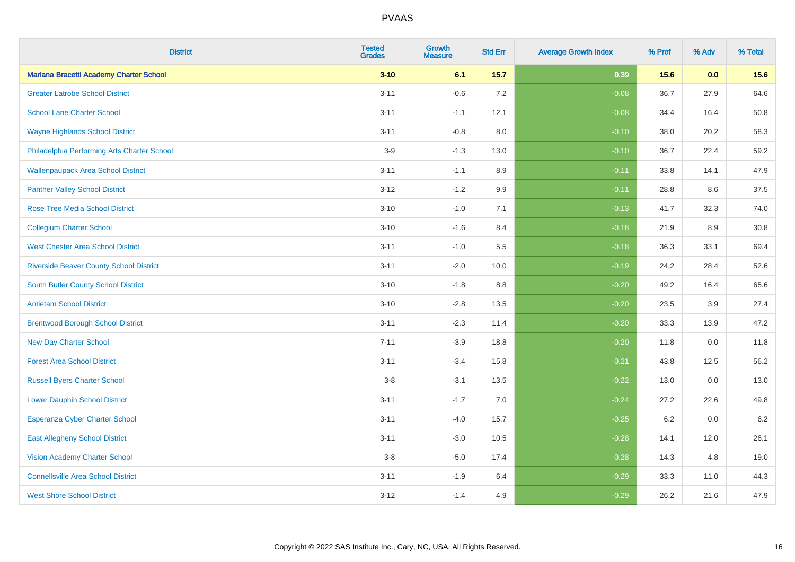| <b>District</b>                                | <b>Tested</b><br><b>Grades</b> | Growth<br><b>Measure</b> | <b>Std Err</b> | <b>Average Growth Index</b> | % Prof | % Adv | % Total |
|------------------------------------------------|--------------------------------|--------------------------|----------------|-----------------------------|--------|-------|---------|
| Mariana Bracetti Academy Charter School        | $3 - 10$                       | 6.1                      | 15.7           | 0.39                        | 15.6   | 0.0   | 15.6    |
| <b>Greater Latrobe School District</b>         | $3 - 11$                       | $-0.6$                   | 7.2            | $-0.08$                     | 36.7   | 27.9  | 64.6    |
| <b>School Lane Charter School</b>              | $3 - 11$                       | $-1.1$                   | 12.1           | $-0.08$                     | 34.4   | 16.4  | 50.8    |
| <b>Wayne Highlands School District</b>         | $3 - 11$                       | $-0.8$                   | 8.0            | $-0.10$                     | 38.0   | 20.2  | 58.3    |
| Philadelphia Performing Arts Charter School    | $3-9$                          | $-1.3$                   | 13.0           | $-0.10$                     | 36.7   | 22.4  | 59.2    |
| <b>Wallenpaupack Area School District</b>      | $3 - 11$                       | $-1.1$                   | 8.9            | $-0.11$                     | 33.8   | 14.1  | 47.9    |
| <b>Panther Valley School District</b>          | $3 - 12$                       | $-1.2$                   | 9.9            | $-0.11$                     | 28.8   | 8.6   | 37.5    |
| <b>Rose Tree Media School District</b>         | $3 - 10$                       | $-1.0$                   | 7.1            | $-0.13$                     | 41.7   | 32.3  | 74.0    |
| <b>Collegium Charter School</b>                | $3 - 10$                       | $-1.6$                   | 8.4            | $-0.18$                     | 21.9   | 8.9   | 30.8    |
| <b>West Chester Area School District</b>       | $3 - 11$                       | $-1.0$                   | 5.5            | $-0.18$                     | 36.3   | 33.1  | 69.4    |
| <b>Riverside Beaver County School District</b> | $3 - 11$                       | $-2.0$                   | 10.0           | $-0.19$                     | 24.2   | 28.4  | 52.6    |
| South Butler County School District            | $3 - 10$                       | $-1.8$                   | 8.8            | $-0.20$                     | 49.2   | 16.4  | 65.6    |
| <b>Antietam School District</b>                | $3 - 10$                       | $-2.8$                   | 13.5           | $-0.20$                     | 23.5   | 3.9   | 27.4    |
| <b>Brentwood Borough School District</b>       | $3 - 11$                       | $-2.3$                   | 11.4           | $-0.20$                     | 33.3   | 13.9  | 47.2    |
| <b>New Day Charter School</b>                  | $7 - 11$                       | $-3.9$                   | 18.8           | $-0.20$                     | 11.8   | 0.0   | 11.8    |
| <b>Forest Area School District</b>             | $3 - 11$                       | $-3.4$                   | 15.8           | $-0.21$                     | 43.8   | 12.5  | 56.2    |
| <b>Russell Byers Charter School</b>            | $3-8$                          | $-3.1$                   | 13.5           | $-0.22$                     | 13.0   | 0.0   | 13.0    |
| <b>Lower Dauphin School District</b>           | $3 - 11$                       | $-1.7$                   | 7.0            | $-0.24$                     | 27.2   | 22.6  | 49.8    |
| <b>Esperanza Cyber Charter School</b>          | $3 - 11$                       | $-4.0$                   | 15.7           | $-0.25$                     | 6.2    | 0.0   | $6.2\,$ |
| <b>East Allegheny School District</b>          | $3 - 11$                       | $-3.0$                   | 10.5           | $-0.28$                     | 14.1   | 12.0  | 26.1    |
| <b>Vision Academy Charter School</b>           | $3-8$                          | $-5.0$                   | 17.4           | $-0.28$                     | 14.3   | 4.8   | 19.0    |
| <b>Connellsville Area School District</b>      | $3 - 11$                       | $-1.9$                   | 6.4            | $-0.29$                     | 33.3   | 11.0  | 44.3    |
| <b>West Shore School District</b>              | $3 - 12$                       | $-1.4$                   | 4.9            | $-0.29$                     | 26.2   | 21.6  | 47.9    |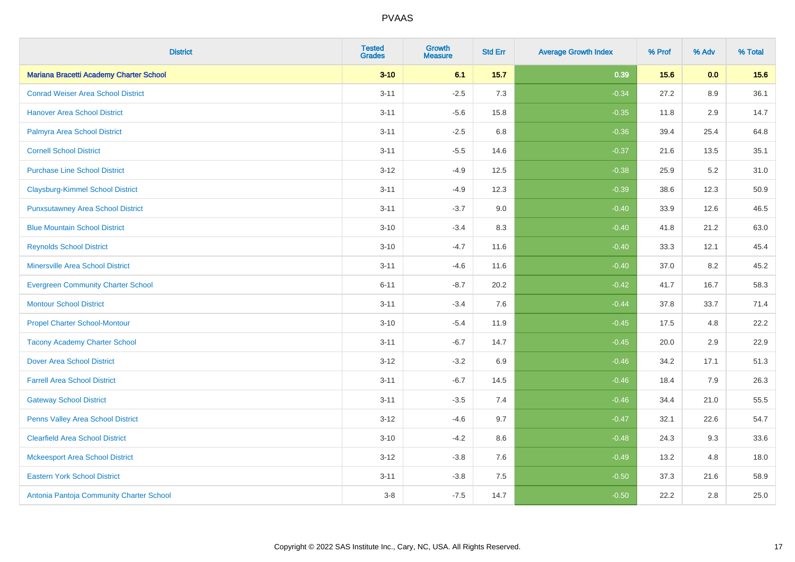| <b>District</b>                           | <b>Tested</b><br><b>Grades</b> | Growth<br><b>Measure</b> | <b>Std Err</b> | <b>Average Growth Index</b> | % Prof | % Adv | % Total |
|-------------------------------------------|--------------------------------|--------------------------|----------------|-----------------------------|--------|-------|---------|
| Mariana Bracetti Academy Charter School   | $3 - 10$                       | 6.1                      | 15.7           | 0.39                        | 15.6   | 0.0   | 15.6    |
| <b>Conrad Weiser Area School District</b> | $3 - 11$                       | $-2.5$                   | 7.3            | $-0.34$                     | 27.2   | 8.9   | 36.1    |
| <b>Hanover Area School District</b>       | $3 - 11$                       | $-5.6$                   | 15.8           | $-0.35$                     | 11.8   | 2.9   | 14.7    |
| Palmyra Area School District              | $3 - 11$                       | $-2.5$                   | 6.8            | $-0.36$                     | 39.4   | 25.4  | 64.8    |
| <b>Cornell School District</b>            | $3 - 11$                       | $-5.5$                   | 14.6           | $-0.37$                     | 21.6   | 13.5  | 35.1    |
| <b>Purchase Line School District</b>      | $3 - 12$                       | $-4.9$                   | 12.5           | $-0.38$                     | 25.9   | 5.2   | 31.0    |
| <b>Claysburg-Kimmel School District</b>   | $3 - 11$                       | $-4.9$                   | 12.3           | $-0.39$                     | 38.6   | 12.3  | 50.9    |
| <b>Punxsutawney Area School District</b>  | $3 - 11$                       | $-3.7$                   | 9.0            | $-0.40$                     | 33.9   | 12.6  | 46.5    |
| <b>Blue Mountain School District</b>      | $3 - 10$                       | $-3.4$                   | 8.3            | $-0.40$                     | 41.8   | 21.2  | 63.0    |
| <b>Reynolds School District</b>           | $3 - 10$                       | $-4.7$                   | 11.6           | $-0.40$                     | 33.3   | 12.1  | 45.4    |
| <b>Minersville Area School District</b>   | $3 - 11$                       | $-4.6$                   | 11.6           | $-0.40$                     | 37.0   | 8.2   | 45.2    |
| <b>Evergreen Community Charter School</b> | $6 - 11$                       | $-8.7$                   | 20.2           | $-0.42$                     | 41.7   | 16.7  | 58.3    |
| <b>Montour School District</b>            | $3 - 11$                       | $-3.4$                   | 7.6            | $-0.44$                     | 37.8   | 33.7  | 71.4    |
| <b>Propel Charter School-Montour</b>      | $3 - 10$                       | $-5.4$                   | 11.9           | $-0.45$                     | 17.5   | 4.8   | 22.2    |
| <b>Tacony Academy Charter School</b>      | $3 - 11$                       | $-6.7$                   | 14.7           | $-0.45$                     | 20.0   | 2.9   | 22.9    |
| <b>Dover Area School District</b>         | $3 - 12$                       | $-3.2$                   | 6.9            | $-0.46$                     | 34.2   | 17.1  | 51.3    |
| <b>Farrell Area School District</b>       | $3 - 11$                       | $-6.7$                   | 14.5           | $-0.46$                     | 18.4   | 7.9   | 26.3    |
| <b>Gateway School District</b>            | $3 - 11$                       | $-3.5$                   | 7.4            | $-0.46$                     | 34.4   | 21.0  | 55.5    |
| Penns Valley Area School District         | $3 - 12$                       | $-4.6$                   | 9.7            | $-0.47$                     | 32.1   | 22.6  | 54.7    |
| <b>Clearfield Area School District</b>    | $3 - 10$                       | $-4.2$                   | 8.6            | $-0.48$                     | 24.3   | 9.3   | 33.6    |
| <b>Mckeesport Area School District</b>    | $3 - 12$                       | $-3.8$                   | 7.6            | $-0.49$                     | 13.2   | 4.8   | 18.0    |
| <b>Eastern York School District</b>       | $3 - 11$                       | $-3.8$                   | 7.5            | $-0.50$                     | 37.3   | 21.6  | 58.9    |
| Antonia Pantoja Community Charter School  | $3 - 8$                        | $-7.5$                   | 14.7           | $-0.50$                     | 22.2   | 2.8   | 25.0    |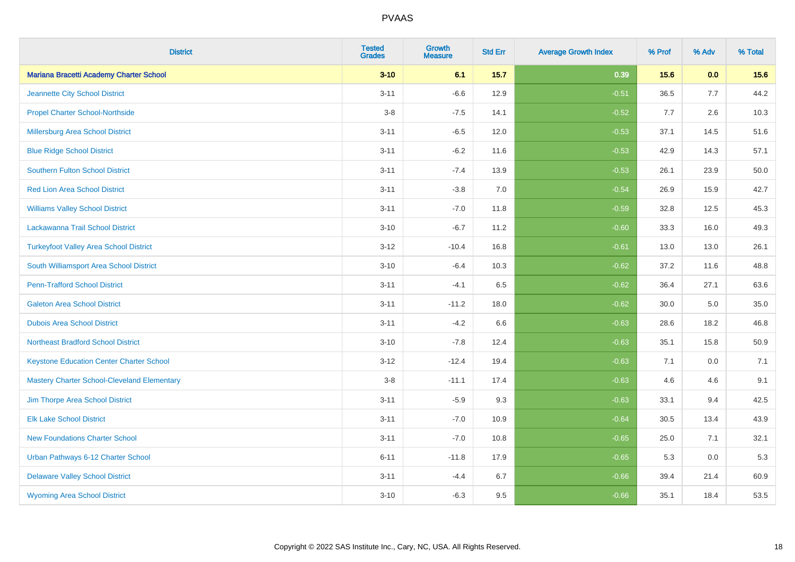| <b>District</b>                                    | <b>Tested</b><br><b>Grades</b> | <b>Growth</b><br><b>Measure</b> | <b>Std Err</b> | <b>Average Growth Index</b> | % Prof | % Adv | % Total |
|----------------------------------------------------|--------------------------------|---------------------------------|----------------|-----------------------------|--------|-------|---------|
| Mariana Bracetti Academy Charter School            | $3 - 10$                       | 6.1                             | 15.7           | 0.39                        | 15.6   | 0.0   | 15.6    |
| Jeannette City School District                     | $3 - 11$                       | $-6.6$                          | 12.9           | $-0.51$                     | 36.5   | 7.7   | 44.2    |
| <b>Propel Charter School-Northside</b>             | $3-8$                          | $-7.5$                          | 14.1           | $-0.52$                     | 7.7    | 2.6   | 10.3    |
| Millersburg Area School District                   | $3 - 11$                       | $-6.5$                          | 12.0           | $-0.53$                     | 37.1   | 14.5  | 51.6    |
| <b>Blue Ridge School District</b>                  | $3 - 11$                       | $-6.2$                          | 11.6           | $-0.53$                     | 42.9   | 14.3  | 57.1    |
| <b>Southern Fulton School District</b>             | $3 - 11$                       | $-7.4$                          | 13.9           | $-0.53$                     | 26.1   | 23.9  | 50.0    |
| <b>Red Lion Area School District</b>               | $3 - 11$                       | $-3.8$                          | 7.0            | $-0.54$                     | 26.9   | 15.9  | 42.7    |
| <b>Williams Valley School District</b>             | $3 - 11$                       | $-7.0$                          | 11.8           | $-0.59$                     | 32.8   | 12.5  | 45.3    |
| Lackawanna Trail School District                   | $3 - 10$                       | $-6.7$                          | 11.2           | $-0.60$                     | 33.3   | 16.0  | 49.3    |
| <b>Turkeyfoot Valley Area School District</b>      | $3 - 12$                       | $-10.4$                         | 16.8           | $-0.61$                     | 13.0   | 13.0  | 26.1    |
| South Williamsport Area School District            | $3 - 10$                       | $-6.4$                          | 10.3           | $-0.62$                     | 37.2   | 11.6  | 48.8    |
| <b>Penn-Trafford School District</b>               | $3 - 11$                       | $-4.1$                          | 6.5            | $-0.62$                     | 36.4   | 27.1  | 63.6    |
| <b>Galeton Area School District</b>                | $3 - 11$                       | $-11.2$                         | 18.0           | $-0.62$                     | 30.0   | 5.0   | 35.0    |
| <b>Dubois Area School District</b>                 | $3 - 11$                       | $-4.2$                          | 6.6            | $-0.63$                     | 28.6   | 18.2  | 46.8    |
| <b>Northeast Bradford School District</b>          | $3 - 10$                       | $-7.8$                          | 12.4           | $-0.63$                     | 35.1   | 15.8  | 50.9    |
| <b>Keystone Education Center Charter School</b>    | $3 - 12$                       | $-12.4$                         | 19.4           | $-0.63$                     | 7.1    | 0.0   | 7.1     |
| <b>Mastery Charter School-Cleveland Elementary</b> | $3-8$                          | $-11.1$                         | 17.4           | $-0.63$                     | 4.6    | 4.6   | 9.1     |
| Jim Thorpe Area School District                    | $3 - 11$                       | $-5.9$                          | 9.3            | $-0.63$                     | 33.1   | 9.4   | 42.5    |
| <b>Elk Lake School District</b>                    | $3 - 11$                       | $-7.0$                          | 10.9           | $-0.64$                     | 30.5   | 13.4  | 43.9    |
| <b>New Foundations Charter School</b>              | $3 - 11$                       | $-7.0$                          | 10.8           | $-0.65$                     | 25.0   | 7.1   | 32.1    |
| Urban Pathways 6-12 Charter School                 | $6 - 11$                       | $-11.8$                         | 17.9           | $-0.65$                     | 5.3    | 0.0   | 5.3     |
| <b>Delaware Valley School District</b>             | $3 - 11$                       | $-4.4$                          | 6.7            | $-0.66$                     | 39.4   | 21.4  | 60.9    |
| <b>Wyoming Area School District</b>                | $3 - 10$                       | $-6.3$                          | 9.5            | $-0.66$                     | 35.1   | 18.4  | 53.5    |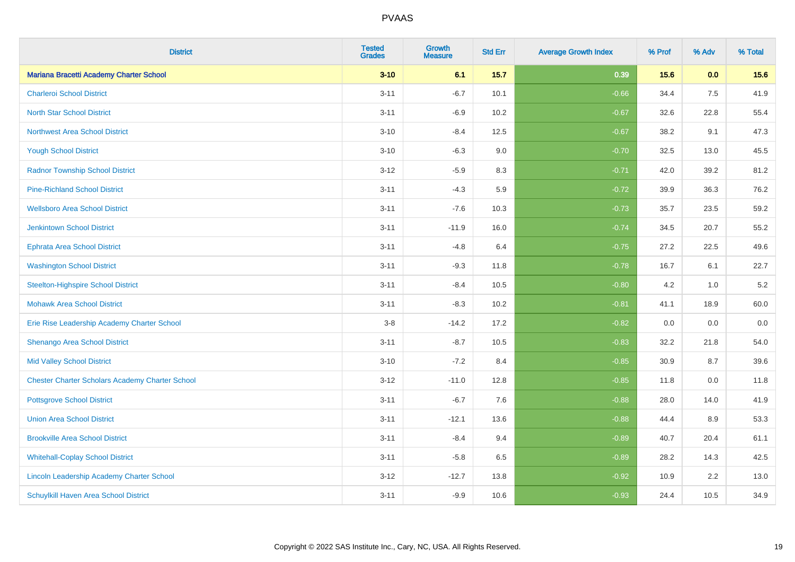| <b>District</b>                                        | <b>Tested</b><br><b>Grades</b> | Growth<br><b>Measure</b> | <b>Std Err</b> | <b>Average Growth Index</b> | % Prof | % Adv | % Total |
|--------------------------------------------------------|--------------------------------|--------------------------|----------------|-----------------------------|--------|-------|---------|
| Mariana Bracetti Academy Charter School                | $3 - 10$                       | 6.1                      | 15.7           | 0.39                        | 15.6   | 0.0   | 15.6    |
| <b>Charleroi School District</b>                       | $3 - 11$                       | $-6.7$                   | 10.1           | $-0.66$                     | 34.4   | 7.5   | 41.9    |
| <b>North Star School District</b>                      | $3 - 11$                       | $-6.9$                   | 10.2           | $-0.67$                     | 32.6   | 22.8  | 55.4    |
| <b>Northwest Area School District</b>                  | $3 - 10$                       | $-8.4$                   | 12.5           | $-0.67$                     | 38.2   | 9.1   | 47.3    |
| <b>Yough School District</b>                           | $3 - 10$                       | $-6.3$                   | 9.0            | $-0.70$                     | 32.5   | 13.0  | 45.5    |
| <b>Radnor Township School District</b>                 | $3 - 12$                       | $-5.9$                   | 8.3            | $-0.71$                     | 42.0   | 39.2  | 81.2    |
| <b>Pine-Richland School District</b>                   | $3 - 11$                       | $-4.3$                   | 5.9            | $-0.72$                     | 39.9   | 36.3  | 76.2    |
| <b>Wellsboro Area School District</b>                  | $3 - 11$                       | $-7.6$                   | 10.3           | $-0.73$                     | 35.7   | 23.5  | 59.2    |
| <b>Jenkintown School District</b>                      | $3 - 11$                       | $-11.9$                  | 16.0           | $-0.74$                     | 34.5   | 20.7  | 55.2    |
| <b>Ephrata Area School District</b>                    | $3 - 11$                       | $-4.8$                   | 6.4            | $-0.75$                     | 27.2   | 22.5  | 49.6    |
| <b>Washington School District</b>                      | $3 - 11$                       | $-9.3$                   | 11.8           | $-0.78$                     | 16.7   | 6.1   | 22.7    |
| <b>Steelton-Highspire School District</b>              | $3 - 11$                       | $-8.4$                   | 10.5           | $-0.80$                     | 4.2    | 1.0   | 5.2     |
| <b>Mohawk Area School District</b>                     | $3 - 11$                       | $-8.3$                   | 10.2           | $-0.81$                     | 41.1   | 18.9  | 60.0    |
| Erie Rise Leadership Academy Charter School            | $3-8$                          | $-14.2$                  | 17.2           | $-0.82$                     | 0.0    | 0.0   | 0.0     |
| Shenango Area School District                          | $3 - 11$                       | $-8.7$                   | 10.5           | $-0.83$                     | 32.2   | 21.8  | 54.0    |
| <b>Mid Valley School District</b>                      | $3 - 10$                       | $-7.2$                   | 8.4            | $-0.85$                     | 30.9   | 8.7   | 39.6    |
| <b>Chester Charter Scholars Academy Charter School</b> | $3 - 12$                       | $-11.0$                  | 12.8           | $-0.85$                     | 11.8   | 0.0   | 11.8    |
| <b>Pottsgrove School District</b>                      | $3 - 11$                       | $-6.7$                   | 7.6            | $-0.88$                     | 28.0   | 14.0  | 41.9    |
| <b>Union Area School District</b>                      | $3 - 11$                       | $-12.1$                  | 13.6           | $-0.88$                     | 44.4   | 8.9   | 53.3    |
| <b>Brookville Area School District</b>                 | $3 - 11$                       | $-8.4$                   | 9.4            | $-0.89$                     | 40.7   | 20.4  | 61.1    |
| <b>Whitehall-Coplay School District</b>                | $3 - 11$                       | $-5.8$                   | 6.5            | $-0.89$                     | 28.2   | 14.3  | 42.5    |
| Lincoln Leadership Academy Charter School              | $3 - 12$                       | $-12.7$                  | 13.8           | $-0.92$                     | 10.9   | 2.2   | 13.0    |
| <b>Schuylkill Haven Area School District</b>           | $3 - 11$                       | $-9.9$                   | 10.6           | $-0.93$                     | 24.4   | 10.5  | 34.9    |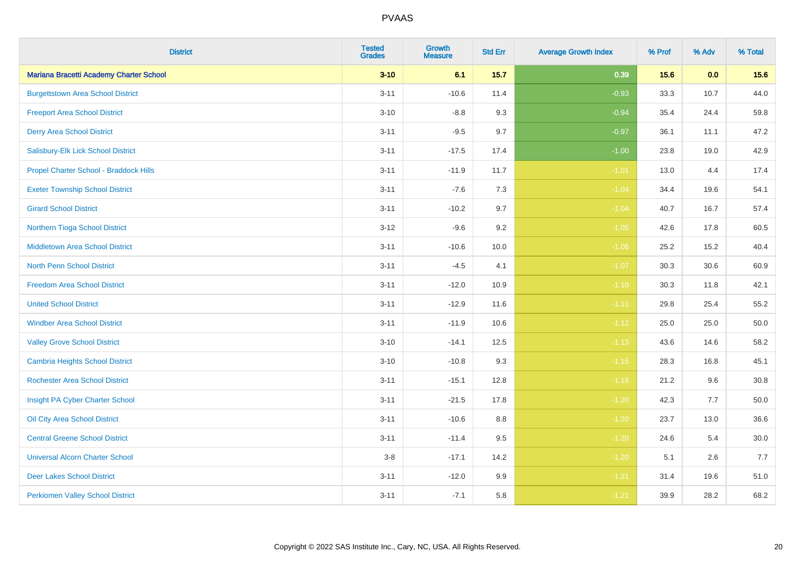| <b>District</b>                          | <b>Tested</b><br><b>Grades</b> | Growth<br><b>Measure</b> | <b>Std Err</b> | <b>Average Growth Index</b> | % Prof | % Adv | % Total |
|------------------------------------------|--------------------------------|--------------------------|----------------|-----------------------------|--------|-------|---------|
| Mariana Bracetti Academy Charter School  | $3 - 10$                       | 6.1                      | 15.7           | 0.39                        | 15.6   | 0.0   | 15.6    |
| <b>Burgettstown Area School District</b> | $3 - 11$                       | $-10.6$                  | 11.4           | $-0.93$                     | 33.3   | 10.7  | 44.0    |
| <b>Freeport Area School District</b>     | $3 - 10$                       | $-8.8$                   | 9.3            | $-0.94$                     | 35.4   | 24.4  | 59.8    |
| <b>Derry Area School District</b>        | $3 - 11$                       | $-9.5$                   | 9.7            | $-0.97$                     | 36.1   | 11.1  | 47.2    |
| Salisbury-Elk Lick School District       | $3 - 11$                       | $-17.5$                  | 17.4           | $-1.00$                     | 23.8   | 19.0  | 42.9    |
| Propel Charter School - Braddock Hills   | $3 - 11$                       | $-11.9$                  | 11.7           | $-1.01$                     | 13.0   | 4.4   | 17.4    |
| <b>Exeter Township School District</b>   | $3 - 11$                       | $-7.6$                   | 7.3            | $-1.04$                     | 34.4   | 19.6  | 54.1    |
| <b>Girard School District</b>            | $3 - 11$                       | $-10.2$                  | 9.7            | $-1.04$                     | 40.7   | 16.7  | 57.4    |
| Northern Tioga School District           | $3 - 12$                       | $-9.6$                   | 9.2            | $-1.05$                     | 42.6   | 17.8  | 60.5    |
| <b>Middletown Area School District</b>   | $3 - 11$                       | $-10.6$                  | 10.0           | $-1.06$                     | 25.2   | 15.2  | 40.4    |
| North Penn School District               | $3 - 11$                       | $-4.5$                   | 4.1            | $-1.07$                     | 30.3   | 30.6  | 60.9    |
| <b>Freedom Area School District</b>      | $3 - 11$                       | $-12.0$                  | 10.9           | $-1.10$                     | 30.3   | 11.8  | 42.1    |
| <b>United School District</b>            | $3 - 11$                       | $-12.9$                  | 11.6           | $-1.11$                     | 29.8   | 25.4  | 55.2    |
| <b>Windber Area School District</b>      | $3 - 11$                       | $-11.9$                  | 10.6           | $-1.12$                     | 25.0   | 25.0  | 50.0    |
| <b>Valley Grove School District</b>      | $3 - 10$                       | $-14.1$                  | 12.5           | $-1.13$                     | 43.6   | 14.6  | 58.2    |
| <b>Cambria Heights School District</b>   | $3 - 10$                       | $-10.8$                  | 9.3            | $-1.15$                     | 28.3   | 16.8  | 45.1    |
| <b>Rochester Area School District</b>    | $3 - 11$                       | $-15.1$                  | 12.8           | $-1.18$                     | 21.2   | 9.6   | 30.8    |
| Insight PA Cyber Charter School          | $3 - 11$                       | $-21.5$                  | 17.8           | $-1.20$                     | 42.3   | 7.7   | 50.0    |
| Oil City Area School District            | $3 - 11$                       | $-10.6$                  | 8.8            | $-1.20$                     | 23.7   | 13.0  | 36.6    |
| <b>Central Greene School District</b>    | $3 - 11$                       | $-11.4$                  | 9.5            | $-1.20$                     | 24.6   | 5.4   | 30.0    |
| <b>Universal Alcorn Charter School</b>   | $3-8$                          | $-17.1$                  | 14.2           | $-1.20$                     | 5.1    | 2.6   | 7.7     |
| <b>Deer Lakes School District</b>        | $3 - 11$                       | $-12.0$                  | 9.9            | $-1.21$                     | 31.4   | 19.6  | 51.0    |
| <b>Perkiomen Valley School District</b>  | $3 - 11$                       | $-7.1$                   | 5.8            | $-1.21$                     | 39.9   | 28.2  | 68.2    |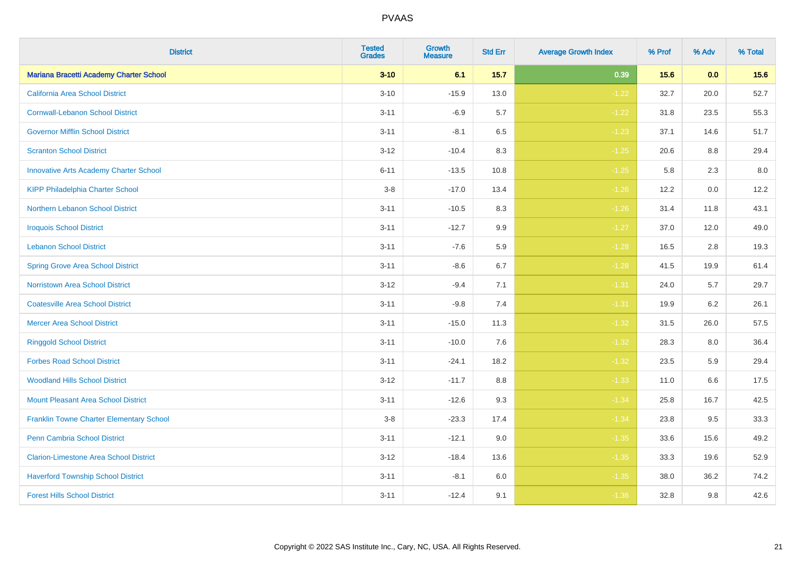| <b>District</b>                               | <b>Tested</b><br><b>Grades</b> | Growth<br><b>Measure</b> | <b>Std Err</b> | <b>Average Growth Index</b> | % Prof | % Adv | % Total |
|-----------------------------------------------|--------------------------------|--------------------------|----------------|-----------------------------|--------|-------|---------|
| Mariana Bracetti Academy Charter School       | $3 - 10$                       | 6.1                      | 15.7           | 0.39                        | 15.6   | 0.0   | 15.6    |
| California Area School District               | $3 - 10$                       | $-15.9$                  | 13.0           | $-1.22$                     | 32.7   | 20.0  | 52.7    |
| <b>Cornwall-Lebanon School District</b>       | $3 - 11$                       | $-6.9$                   | 5.7            | $-1.22$                     | 31.8   | 23.5  | 55.3    |
| <b>Governor Mifflin School District</b>       | $3 - 11$                       | $-8.1$                   | 6.5            | $-1.23$                     | 37.1   | 14.6  | 51.7    |
| <b>Scranton School District</b>               | $3 - 12$                       | $-10.4$                  | 8.3            | $-1.25$                     | 20.6   | 8.8   | 29.4    |
| <b>Innovative Arts Academy Charter School</b> | $6 - 11$                       | $-13.5$                  | 10.8           | $-1.25$                     | 5.8    | 2.3   | $8.0\,$ |
| <b>KIPP Philadelphia Charter School</b>       | $3 - 8$                        | $-17.0$                  | 13.4           | $-1.26$                     | 12.2   | 0.0   | 12.2    |
| Northern Lebanon School District              | $3 - 11$                       | $-10.5$                  | 8.3            | $-1.26$                     | 31.4   | 11.8  | 43.1    |
| <b>Iroquois School District</b>               | $3 - 11$                       | $-12.7$                  | 9.9            | $-1.27$                     | 37.0   | 12.0  | 49.0    |
| <b>Lebanon School District</b>                | $3 - 11$                       | $-7.6$                   | 5.9            | $-1.28$                     | 16.5   | 2.8   | 19.3    |
| <b>Spring Grove Area School District</b>      | $3 - 11$                       | $-8.6$                   | 6.7            | $-1.28$                     | 41.5   | 19.9  | 61.4    |
| <b>Norristown Area School District</b>        | $3 - 12$                       | $-9.4$                   | 7.1            | $-1.31$                     | 24.0   | 5.7   | 29.7    |
| <b>Coatesville Area School District</b>       | $3 - 11$                       | $-9.8$                   | 7.4            | $-1.31$                     | 19.9   | 6.2   | 26.1    |
| <b>Mercer Area School District</b>            | $3 - 11$                       | $-15.0$                  | 11.3           | $-1.32$                     | 31.5   | 26.0  | 57.5    |
| <b>Ringgold School District</b>               | $3 - 11$                       | $-10.0$                  | 7.6            | $-1.32$                     | 28.3   | 8.0   | 36.4    |
| <b>Forbes Road School District</b>            | $3 - 11$                       | $-24.1$                  | 18.2           | $-1.32$                     | 23.5   | 5.9   | 29.4    |
| <b>Woodland Hills School District</b>         | $3 - 12$                       | $-11.7$                  | 8.8            | $-1.33$                     | 11.0   | 6.6   | 17.5    |
| <b>Mount Pleasant Area School District</b>    | $3 - 11$                       | $-12.6$                  | 9.3            | $-1.34$                     | 25.8   | 16.7  | 42.5    |
| Franklin Towne Charter Elementary School      | $3 - 8$                        | $-23.3$                  | 17.4           | $-1.34$                     | 23.8   | 9.5   | 33.3    |
| <b>Penn Cambria School District</b>           | $3 - 11$                       | $-12.1$                  | 9.0            | $-1.35$                     | 33.6   | 15.6  | 49.2    |
| <b>Clarion-Limestone Area School District</b> | $3 - 12$                       | $-18.4$                  | 13.6           | $-1.35$                     | 33.3   | 19.6  | 52.9    |
| <b>Haverford Township School District</b>     | $3 - 11$                       | $-8.1$                   | 6.0            | $-1.35$                     | 38.0   | 36.2  | 74.2    |
| <b>Forest Hills School District</b>           | $3 - 11$                       | $-12.4$                  | 9.1            | $-1.36$                     | 32.8   | 9.8   | 42.6    |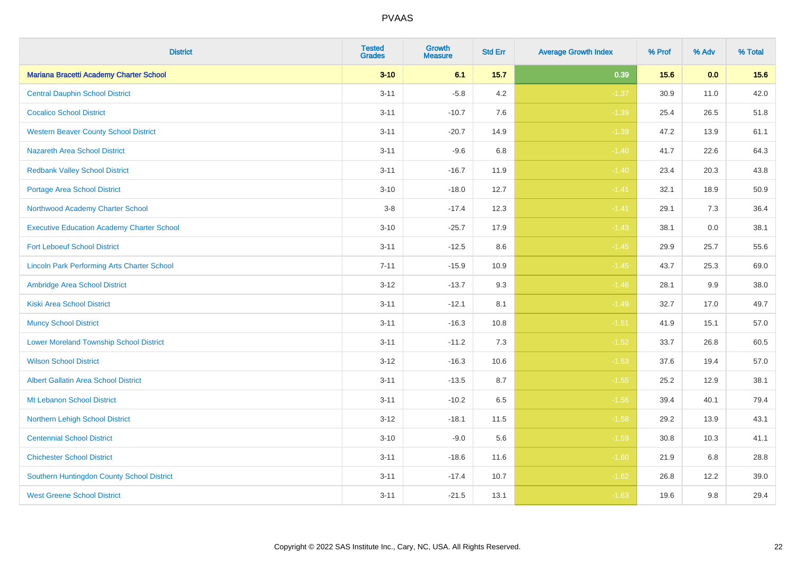| <b>District</b>                                    | <b>Tested</b><br><b>Grades</b> | Growth<br><b>Measure</b> | <b>Std Err</b> | <b>Average Growth Index</b> | % Prof | % Adv | % Total |
|----------------------------------------------------|--------------------------------|--------------------------|----------------|-----------------------------|--------|-------|---------|
| Mariana Bracetti Academy Charter School            | $3 - 10$                       | 6.1                      | 15.7           | 0.39                        | 15.6   | 0.0   | 15.6    |
| <b>Central Dauphin School District</b>             | $3 - 11$                       | $-5.8$                   | 4.2            | $-1.37$                     | 30.9   | 11.0  | 42.0    |
| <b>Cocalico School District</b>                    | $3 - 11$                       | $-10.7$                  | 7.6            | $-1.39$                     | 25.4   | 26.5  | 51.8    |
| <b>Western Beaver County School District</b>       | $3 - 11$                       | $-20.7$                  | 14.9           | $-1.39$                     | 47.2   | 13.9  | 61.1    |
| <b>Nazareth Area School District</b>               | $3 - 11$                       | $-9.6$                   | 6.8            | $-1.40$                     | 41.7   | 22.6  | 64.3    |
| <b>Redbank Valley School District</b>              | $3 - 11$                       | $-16.7$                  | 11.9           | $-1.40$                     | 23.4   | 20.3  | 43.8    |
| <b>Portage Area School District</b>                | $3 - 10$                       | $-18.0$                  | 12.7           | $-1.41$                     | 32.1   | 18.9  | 50.9    |
| Northwood Academy Charter School                   | $3 - 8$                        | $-17.4$                  | 12.3           | $-1.41$                     | 29.1   | 7.3   | 36.4    |
| <b>Executive Education Academy Charter School</b>  | $3 - 10$                       | $-25.7$                  | 17.9           | $-1.43$                     | 38.1   | 0.0   | 38.1    |
| <b>Fort Leboeuf School District</b>                | $3 - 11$                       | $-12.5$                  | 8.6            | $-1.45$                     | 29.9   | 25.7  | 55.6    |
| <b>Lincoln Park Performing Arts Charter School</b> | $7 - 11$                       | $-15.9$                  | 10.9           | $-1.45$                     | 43.7   | 25.3  | 69.0    |
| Ambridge Area School District                      | $3 - 12$                       | $-13.7$                  | 9.3            | $-1.46$                     | 28.1   | 9.9   | 38.0    |
| <b>Kiski Area School District</b>                  | $3 - 11$                       | $-12.1$                  | 8.1            | $-1.49$                     | 32.7   | 17.0  | 49.7    |
| <b>Muncy School District</b>                       | $3 - 11$                       | $-16.3$                  | 10.8           | $-1.51$                     | 41.9   | 15.1  | 57.0    |
| <b>Lower Moreland Township School District</b>     | $3 - 11$                       | $-11.2$                  | 7.3            | $-1.52$                     | 33.7   | 26.8  | 60.5    |
| <b>Wilson School District</b>                      | $3 - 12$                       | $-16.3$                  | 10.6           | $-1.53$                     | 37.6   | 19.4  | 57.0    |
| <b>Albert Gallatin Area School District</b>        | $3 - 11$                       | $-13.5$                  | 8.7            | $-1.55$                     | 25.2   | 12.9  | 38.1    |
| Mt Lebanon School District                         | $3 - 11$                       | $-10.2$                  | 6.5            | $-1.56$                     | 39.4   | 40.1  | 79.4    |
| Northern Lehigh School District                    | $3 - 12$                       | $-18.1$                  | 11.5           | $-1.58$                     | 29.2   | 13.9  | 43.1    |
| <b>Centennial School District</b>                  | $3 - 10$                       | $-9.0$                   | 5.6            | $-1.59$                     | 30.8   | 10.3  | 41.1    |
| <b>Chichester School District</b>                  | $3 - 11$                       | $-18.6$                  | 11.6           | $-1.60$                     | 21.9   | 6.8   | 28.8    |
| Southern Huntingdon County School District         | $3 - 11$                       | $-17.4$                  | 10.7           | $-1.62$                     | 26.8   | 12.2  | 39.0    |
| <b>West Greene School District</b>                 | $3 - 11$                       | $-21.5$                  | 13.1           | $-1.63$                     | 19.6   | 9.8   | 29.4    |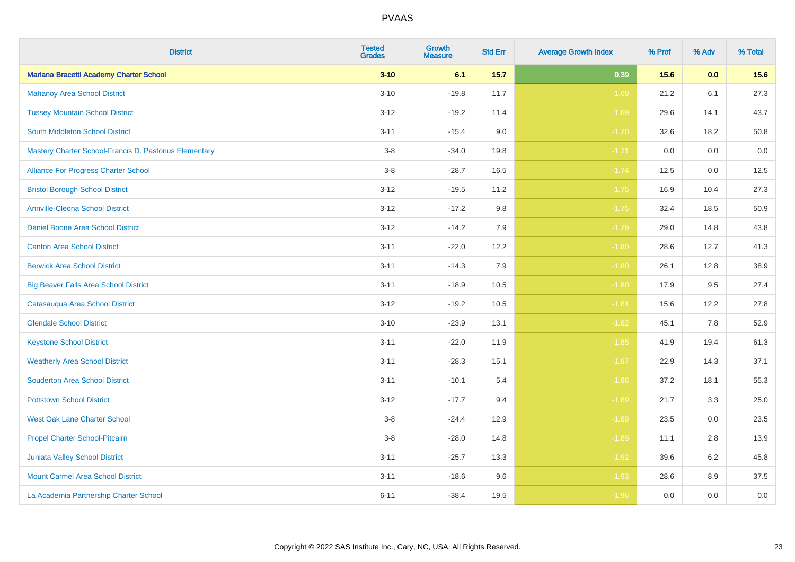| <b>District</b>                                        | <b>Tested</b><br><b>Grades</b> | <b>Growth</b><br><b>Measure</b> | <b>Std Err</b> | <b>Average Growth Index</b> | % Prof | % Adv | % Total |
|--------------------------------------------------------|--------------------------------|---------------------------------|----------------|-----------------------------|--------|-------|---------|
| Mariana Bracetti Academy Charter School                | $3 - 10$                       | 6.1                             | $15.7$         | 0.39                        | 15.6   | 0.0   | 15.6    |
| <b>Mahanoy Area School District</b>                    | $3 - 10$                       | $-19.8$                         | 11.7           | $-1.69$                     | 21.2   | 6.1   | 27.3    |
| <b>Tussey Mountain School District</b>                 | $3 - 12$                       | $-19.2$                         | 11.4           | $-1.69$                     | 29.6   | 14.1  | 43.7    |
| <b>South Middleton School District</b>                 | $3 - 11$                       | $-15.4$                         | 9.0            | $-1.70$                     | 32.6   | 18.2  | 50.8    |
| Mastery Charter School-Francis D. Pastorius Elementary | $3-8$                          | $-34.0$                         | 19.8           | $-1.71$                     | 0.0    | 0.0   | $0.0\,$ |
| Alliance For Progress Charter School                   | $3-8$                          | $-28.7$                         | 16.5           | $-1.74$                     | 12.5   | 0.0   | 12.5    |
| <b>Bristol Borough School District</b>                 | $3 - 12$                       | $-19.5$                         | 11.2           | $-1.75$                     | 16.9   | 10.4  | 27.3    |
| <b>Annville-Cleona School District</b>                 | $3 - 12$                       | $-17.2$                         | 9.8            | $-1.75$                     | 32.4   | 18.5  | 50.9    |
| Daniel Boone Area School District                      | $3-12$                         | $-14.2$                         | 7.9            | $-1.79$                     | 29.0   | 14.8  | 43.8    |
| <b>Canton Area School District</b>                     | $3 - 11$                       | $-22.0$                         | 12.2           | $-1.80$                     | 28.6   | 12.7  | 41.3    |
| <b>Berwick Area School District</b>                    | $3 - 11$                       | $-14.3$                         | 7.9            | $-1.80$                     | 26.1   | 12.8  | 38.9    |
| <b>Big Beaver Falls Area School District</b>           | $3 - 11$                       | $-18.9$                         | 10.5           | $-1.80$                     | 17.9   | 9.5   | 27.4    |
| Catasauqua Area School District                        | $3 - 12$                       | $-19.2$                         | 10.5           | $-1.81$                     | 15.6   | 12.2  | 27.8    |
| <b>Glendale School District</b>                        | $3 - 10$                       | $-23.9$                         | 13.1           | $-1.82$                     | 45.1   | 7.8   | 52.9    |
| <b>Keystone School District</b>                        | $3 - 11$                       | $-22.0$                         | 11.9           | $-1.85$                     | 41.9   | 19.4  | 61.3    |
| <b>Weatherly Area School District</b>                  | $3 - 11$                       | $-28.3$                         | 15.1           | $-1.87$                     | 22.9   | 14.3  | 37.1    |
| <b>Souderton Area School District</b>                  | $3 - 11$                       | $-10.1$                         | 5.4            | $-1.88$                     | 37.2   | 18.1  | 55.3    |
| <b>Pottstown School District</b>                       | $3 - 12$                       | $-17.7$                         | 9.4            | $-1.89$                     | 21.7   | 3.3   | 25.0    |
| <b>West Oak Lane Charter School</b>                    | $3-8$                          | $-24.4$                         | 12.9           | $-1.89$                     | 23.5   | 0.0   | 23.5    |
| Propel Charter School-Pitcairn                         | $3-8$                          | $-28.0$                         | 14.8           | $-1.89$                     | 11.1   | 2.8   | 13.9    |
| Juniata Valley School District                         | $3 - 11$                       | $-25.7$                         | 13.3           | $-1.92$                     | 39.6   | 6.2   | 45.8    |
| <b>Mount Carmel Area School District</b>               | $3 - 11$                       | $-18.6$                         | 9.6            | $-1.93$                     | 28.6   | 8.9   | 37.5    |
| La Academia Partnership Charter School                 | $6 - 11$                       | $-38.4$                         | 19.5           | $-1.96$                     | 0.0    | 0.0   | $0.0\,$ |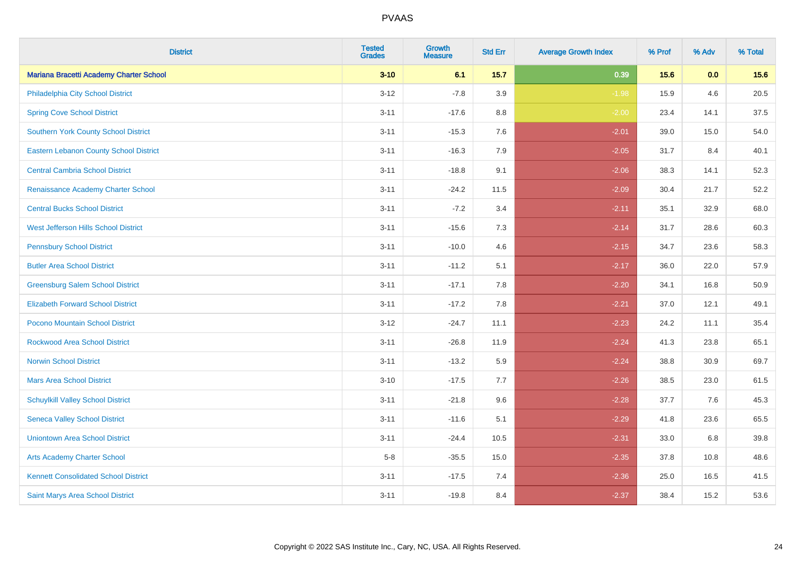| <b>District</b>                               | <b>Tested</b><br><b>Grades</b> | Growth<br><b>Measure</b> | <b>Std Err</b> | <b>Average Growth Index</b> | % Prof | % Adv | % Total |
|-----------------------------------------------|--------------------------------|--------------------------|----------------|-----------------------------|--------|-------|---------|
| Mariana Bracetti Academy Charter School       | $3 - 10$                       | 6.1                      | 15.7           | 0.39                        | 15.6   | 0.0   | 15.6    |
| Philadelphia City School District             | $3 - 12$                       | $-7.8$                   | 3.9            | $-1.98$                     | 15.9   | 4.6   | 20.5    |
| <b>Spring Cove School District</b>            | $3 - 11$                       | $-17.6$                  | 8.8            | $-2.00$                     | 23.4   | 14.1  | 37.5    |
| <b>Southern York County School District</b>   | $3 - 11$                       | $-15.3$                  | 7.6            | $-2.01$                     | 39.0   | 15.0  | 54.0    |
| <b>Eastern Lebanon County School District</b> | $3 - 11$                       | $-16.3$                  | 7.9            | $-2.05$                     | 31.7   | 8.4   | 40.1    |
| <b>Central Cambria School District</b>        | $3 - 11$                       | $-18.8$                  | 9.1            | $-2.06$                     | 38.3   | 14.1  | 52.3    |
| Renaissance Academy Charter School            | $3 - 11$                       | $-24.2$                  | 11.5           | $-2.09$                     | 30.4   | 21.7  | 52.2    |
| <b>Central Bucks School District</b>          | $3 - 11$                       | $-7.2$                   | 3.4            | $-2.11$                     | 35.1   | 32.9  | 68.0    |
| West Jefferson Hills School District          | $3 - 11$                       | $-15.6$                  | 7.3            | $-2.14$                     | 31.7   | 28.6  | 60.3    |
| <b>Pennsbury School District</b>              | $3 - 11$                       | $-10.0$                  | 4.6            | $-2.15$                     | 34.7   | 23.6  | 58.3    |
| <b>Butler Area School District</b>            | $3 - 11$                       | $-11.2$                  | 5.1            | $-2.17$                     | 36.0   | 22.0  | 57.9    |
| <b>Greensburg Salem School District</b>       | $3 - 11$                       | $-17.1$                  | 7.8            | $-2.20$                     | 34.1   | 16.8  | 50.9    |
| <b>Elizabeth Forward School District</b>      | $3 - 11$                       | $-17.2$                  | 7.8            | $-2.21$                     | 37.0   | 12.1  | 49.1    |
| <b>Pocono Mountain School District</b>        | $3 - 12$                       | $-24.7$                  | 11.1           | $-2.23$                     | 24.2   | 11.1  | 35.4    |
| <b>Rockwood Area School District</b>          | $3 - 11$                       | $-26.8$                  | 11.9           | $-2.24$                     | 41.3   | 23.8  | 65.1    |
| <b>Norwin School District</b>                 | $3 - 11$                       | $-13.2$                  | 5.9            | $-2.24$                     | 38.8   | 30.9  | 69.7    |
| <b>Mars Area School District</b>              | $3 - 10$                       | $-17.5$                  | 7.7            | $-2.26$                     | 38.5   | 23.0  | 61.5    |
| <b>Schuylkill Valley School District</b>      | $3 - 11$                       | $-21.8$                  | 9.6            | $-2.28$                     | 37.7   | 7.6   | 45.3    |
| <b>Seneca Valley School District</b>          | $3 - 11$                       | $-11.6$                  | 5.1            | $-2.29$                     | 41.8   | 23.6  | 65.5    |
| <b>Uniontown Area School District</b>         | $3 - 11$                       | $-24.4$                  | 10.5           | $-2.31$                     | 33.0   | 6.8   | 39.8    |
| <b>Arts Academy Charter School</b>            | $5-8$                          | $-35.5$                  | 15.0           | $-2.35$                     | 37.8   | 10.8  | 48.6    |
| <b>Kennett Consolidated School District</b>   | $3 - 11$                       | $-17.5$                  | 7.4            | $-2.36$                     | 25.0   | 16.5  | 41.5    |
| Saint Marys Area School District              | $3 - 11$                       | $-19.8$                  | 8.4            | $-2.37$                     | 38.4   | 15.2  | 53.6    |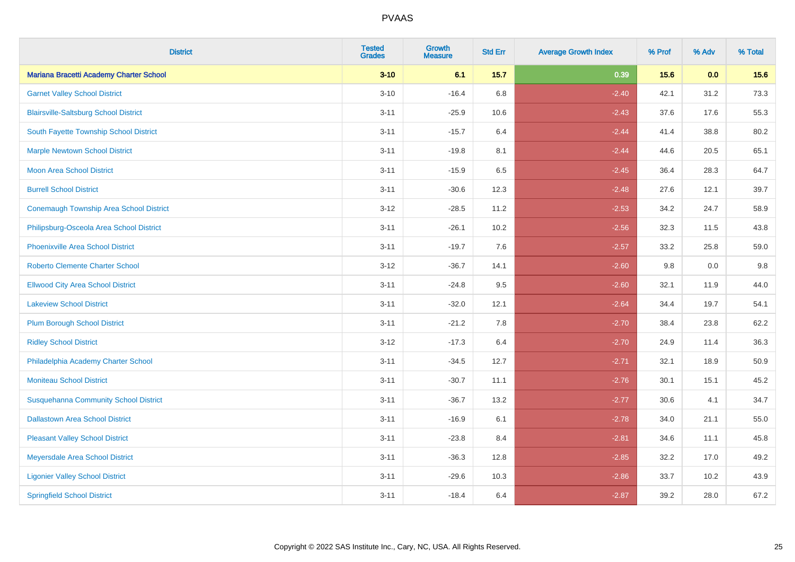| <b>District</b>                                | <b>Tested</b><br><b>Grades</b> | Growth<br><b>Measure</b> | <b>Std Err</b> | <b>Average Growth Index</b> | % Prof | % Adv | % Total |
|------------------------------------------------|--------------------------------|--------------------------|----------------|-----------------------------|--------|-------|---------|
| Mariana Bracetti Academy Charter School        | $3 - 10$                       | 6.1                      | 15.7           | 0.39                        | 15.6   | 0.0   | 15.6    |
| <b>Garnet Valley School District</b>           | $3 - 10$                       | $-16.4$                  | 6.8            | $-2.40$                     | 42.1   | 31.2  | 73.3    |
| <b>Blairsville-Saltsburg School District</b>   | $3 - 11$                       | $-25.9$                  | 10.6           | $-2.43$                     | 37.6   | 17.6  | 55.3    |
| South Fayette Township School District         | $3 - 11$                       | $-15.7$                  | 6.4            | $-2.44$                     | 41.4   | 38.8  | 80.2    |
| <b>Marple Newtown School District</b>          | $3 - 11$                       | $-19.8$                  | 8.1            | $-2.44$                     | 44.6   | 20.5  | 65.1    |
| <b>Moon Area School District</b>               | $3 - 11$                       | $-15.9$                  | 6.5            | $-2.45$                     | 36.4   | 28.3  | 64.7    |
| <b>Burrell School District</b>                 | $3 - 11$                       | $-30.6$                  | 12.3           | $-2.48$                     | 27.6   | 12.1  | 39.7    |
| <b>Conemaugh Township Area School District</b> | $3 - 12$                       | $-28.5$                  | 11.2           | $-2.53$                     | 34.2   | 24.7  | 58.9    |
| Philipsburg-Osceola Area School District       | $3 - 11$                       | $-26.1$                  | 10.2           | $-2.56$                     | 32.3   | 11.5  | 43.8    |
| <b>Phoenixville Area School District</b>       | $3 - 11$                       | $-19.7$                  | 7.6            | $-2.57$                     | 33.2   | 25.8  | 59.0    |
| <b>Roberto Clemente Charter School</b>         | $3 - 12$                       | $-36.7$                  | 14.1           | $-2.60$                     | 9.8    | 0.0   | 9.8     |
| <b>Ellwood City Area School District</b>       | $3 - 11$                       | $-24.8$                  | 9.5            | $-2.60$                     | 32.1   | 11.9  | 44.0    |
| <b>Lakeview School District</b>                | $3 - 11$                       | $-32.0$                  | 12.1           | $-2.64$                     | 34.4   | 19.7  | 54.1    |
| <b>Plum Borough School District</b>            | $3 - 11$                       | $-21.2$                  | 7.8            | $-2.70$                     | 38.4   | 23.8  | 62.2    |
| <b>Ridley School District</b>                  | $3 - 12$                       | $-17.3$                  | 6.4            | $-2.70$                     | 24.9   | 11.4  | 36.3    |
| Philadelphia Academy Charter School            | $3 - 11$                       | $-34.5$                  | 12.7           | $-2.71$                     | 32.1   | 18.9  | 50.9    |
| <b>Moniteau School District</b>                | $3 - 11$                       | $-30.7$                  | 11.1           | $-2.76$                     | 30.1   | 15.1  | 45.2    |
| <b>Susquehanna Community School District</b>   | $3 - 11$                       | $-36.7$                  | 13.2           | $-2.77$                     | 30.6   | 4.1   | 34.7    |
| <b>Dallastown Area School District</b>         | $3 - 11$                       | $-16.9$                  | 6.1            | $-2.78$                     | 34.0   | 21.1  | 55.0    |
| <b>Pleasant Valley School District</b>         | $3 - 11$                       | $-23.8$                  | 8.4            | $-2.81$                     | 34.6   | 11.1  | 45.8    |
| Meyersdale Area School District                | $3 - 11$                       | $-36.3$                  | 12.8           | $-2.85$                     | 32.2   | 17.0  | 49.2    |
| <b>Ligonier Valley School District</b>         | $3 - 11$                       | $-29.6$                  | 10.3           | $-2.86$                     | 33.7   | 10.2  | 43.9    |
| <b>Springfield School District</b>             | $3 - 11$                       | $-18.4$                  | 6.4            | $-2.87$                     | 39.2   | 28.0  | 67.2    |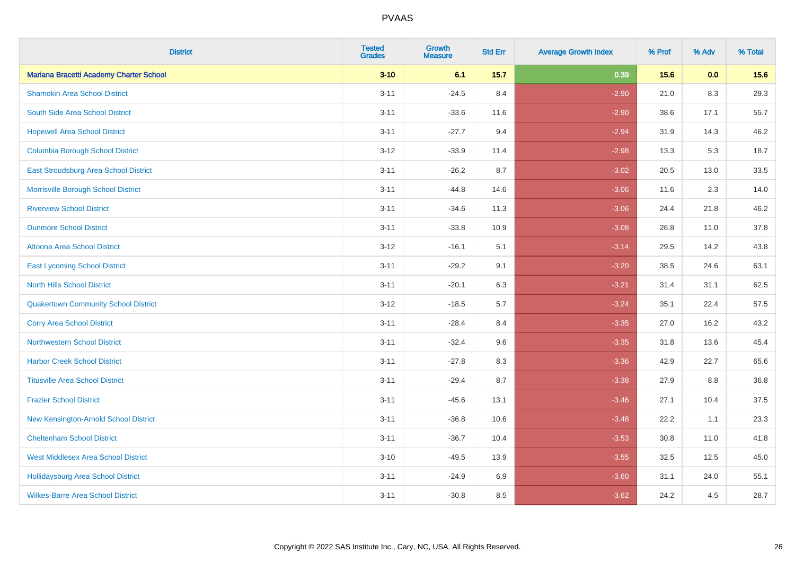| <b>District</b>                              | <b>Tested</b><br><b>Grades</b> | Growth<br><b>Measure</b> | <b>Std Err</b> | <b>Average Growth Index</b> | % Prof | % Adv | % Total |
|----------------------------------------------|--------------------------------|--------------------------|----------------|-----------------------------|--------|-------|---------|
| Mariana Bracetti Academy Charter School      | $3 - 10$                       | 6.1                      | 15.7           | 0.39                        | 15.6   | 0.0   | 15.6    |
| <b>Shamokin Area School District</b>         | $3 - 11$                       | $-24.5$                  | 8.4            | $-2.90$                     | 21.0   | 8.3   | 29.3    |
| South Side Area School District              | $3 - 11$                       | $-33.6$                  | 11.6           | $-2.90$                     | 38.6   | 17.1  | 55.7    |
| <b>Hopewell Area School District</b>         | $3 - 11$                       | $-27.7$                  | 9.4            | $-2.94$                     | 31.9   | 14.3  | 46.2    |
| <b>Columbia Borough School District</b>      | $3 - 12$                       | $-33.9$                  | 11.4           | $-2.98$                     | 13.3   | 5.3   | 18.7    |
| <b>East Stroudsburg Area School District</b> | $3 - 11$                       | $-26.2$                  | 8.7            | $-3.02$                     | 20.5   | 13.0  | 33.5    |
| Morrisville Borough School District          | $3 - 11$                       | $-44.8$                  | 14.6           | $-3.06$                     | 11.6   | 2.3   | 14.0    |
| <b>Riverview School District</b>             | $3 - 11$                       | $-34.6$                  | 11.3           | $-3.06$                     | 24.4   | 21.8  | 46.2    |
| <b>Dunmore School District</b>               | $3 - 11$                       | $-33.8$                  | 10.9           | $-3.08$                     | 26.8   | 11.0  | 37.8    |
| <b>Altoona Area School District</b>          | $3 - 12$                       | $-16.1$                  | 5.1            | $-3.14$                     | 29.5   | 14.2  | 43.8    |
| <b>East Lycoming School District</b>         | $3 - 11$                       | $-29.2$                  | 9.1            | $-3.20$                     | 38.5   | 24.6  | 63.1    |
| <b>North Hills School District</b>           | $3 - 11$                       | $-20.1$                  | 6.3            | $-3.21$                     | 31.4   | 31.1  | 62.5    |
| <b>Quakertown Community School District</b>  | $3 - 12$                       | $-18.5$                  | 5.7            | $-3.24$                     | 35.1   | 22.4  | 57.5    |
| <b>Corry Area School District</b>            | $3 - 11$                       | $-28.4$                  | 8.4            | $-3.35$                     | 27.0   | 16.2  | 43.2    |
| <b>Northwestern School District</b>          | $3 - 11$                       | $-32.4$                  | 9.6            | $-3.35$                     | 31.8   | 13.6  | 45.4    |
| <b>Harbor Creek School District</b>          | $3 - 11$                       | $-27.8$                  | 8.3            | $-3.36$                     | 42.9   | 22.7  | 65.6    |
| <b>Titusville Area School District</b>       | $3 - 11$                       | $-29.4$                  | 8.7            | $-3.38$                     | 27.9   | 8.8   | 36.8    |
| <b>Frazier School District</b>               | $3 - 11$                       | $-45.6$                  | 13.1           | $-3.46$                     | 27.1   | 10.4  | 37.5    |
| <b>New Kensington-Arnold School District</b> | $3 - 11$                       | $-36.8$                  | 10.6           | $-3.48$                     | 22.2   | 1.1   | 23.3    |
| <b>Cheltenham School District</b>            | $3 - 11$                       | $-36.7$                  | 10.4           | $-3.53$                     | 30.8   | 11.0  | 41.8    |
| <b>West Middlesex Area School District</b>   | $3 - 10$                       | $-49.5$                  | 13.9           | $-3.55$                     | 32.5   | 12.5  | 45.0    |
| <b>Hollidaysburg Area School District</b>    | $3 - 11$                       | $-24.9$                  | 6.9            | $-3.60$                     | 31.1   | 24.0  | 55.1    |
| <b>Wilkes-Barre Area School District</b>     | $3 - 11$                       | $-30.8$                  | 8.5            | $-3.62$                     | 24.2   | 4.5   | 28.7    |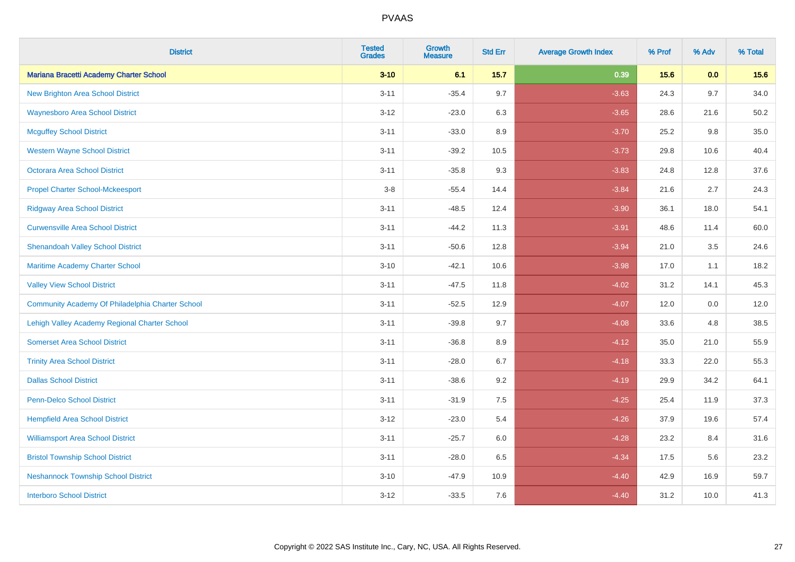| <b>District</b>                                  | <b>Tested</b><br><b>Grades</b> | Growth<br><b>Measure</b> | <b>Std Err</b> | <b>Average Growth Index</b> | % Prof | % Adv | % Total |
|--------------------------------------------------|--------------------------------|--------------------------|----------------|-----------------------------|--------|-------|---------|
| Mariana Bracetti Academy Charter School          | $3 - 10$                       | 6.1                      | 15.7           | 0.39                        | 15.6   | 0.0   | 15.6    |
| New Brighton Area School District                | $3 - 11$                       | $-35.4$                  | 9.7            | $-3.63$                     | 24.3   | 9.7   | 34.0    |
| <b>Waynesboro Area School District</b>           | $3 - 12$                       | $-23.0$                  | 6.3            | $-3.65$                     | 28.6   | 21.6  | 50.2    |
| <b>Mcguffey School District</b>                  | $3 - 11$                       | $-33.0$                  | 8.9            | $-3.70$                     | 25.2   | 9.8   | 35.0    |
| <b>Western Wayne School District</b>             | $3 - 11$                       | $-39.2$                  | 10.5           | $-3.73$                     | 29.8   | 10.6  | 40.4    |
| <b>Octorara Area School District</b>             | $3 - 11$                       | $-35.8$                  | 9.3            | $-3.83$                     | 24.8   | 12.8  | 37.6    |
| <b>Propel Charter School-Mckeesport</b>          | $3 - 8$                        | $-55.4$                  | 14.4           | $-3.84$                     | 21.6   | 2.7   | 24.3    |
| <b>Ridgway Area School District</b>              | $3 - 11$                       | $-48.5$                  | 12.4           | $-3.90$                     | 36.1   | 18.0  | 54.1    |
| <b>Curwensville Area School District</b>         | $3 - 11$                       | $-44.2$                  | 11.3           | $-3.91$                     | 48.6   | 11.4  | 60.0    |
| <b>Shenandoah Valley School District</b>         | $3 - 11$                       | $-50.6$                  | 12.8           | $-3.94$                     | 21.0   | 3.5   | 24.6    |
| <b>Maritime Academy Charter School</b>           | $3 - 10$                       | $-42.1$                  | 10.6           | $-3.98$                     | 17.0   | 1.1   | 18.2    |
| <b>Valley View School District</b>               | $3 - 11$                       | $-47.5$                  | 11.8           | $-4.02$                     | 31.2   | 14.1  | 45.3    |
| Community Academy Of Philadelphia Charter School | $3 - 11$                       | $-52.5$                  | 12.9           | $-4.07$                     | 12.0   | 0.0   | 12.0    |
| Lehigh Valley Academy Regional Charter School    | $3 - 11$                       | $-39.8$                  | 9.7            | $-4.08$                     | 33.6   | 4.8   | 38.5    |
| <b>Somerset Area School District</b>             | $3 - 11$                       | $-36.8$                  | 8.9            | $-4.12$                     | 35.0   | 21.0  | 55.9    |
| <b>Trinity Area School District</b>              | $3 - 11$                       | $-28.0$                  | 6.7            | $-4.18$                     | 33.3   | 22.0  | 55.3    |
| <b>Dallas School District</b>                    | $3 - 11$                       | $-38.6$                  | 9.2            | $-4.19$                     | 29.9   | 34.2  | 64.1    |
| <b>Penn-Delco School District</b>                | $3 - 11$                       | $-31.9$                  | 7.5            | $-4.25$                     | 25.4   | 11.9  | 37.3    |
| <b>Hempfield Area School District</b>            | $3 - 12$                       | $-23.0$                  | 5.4            | $-4.26$                     | 37.9   | 19.6  | 57.4    |
| <b>Williamsport Area School District</b>         | $3 - 11$                       | $-25.7$                  | 6.0            | $-4.28$                     | 23.2   | 8.4   | 31.6    |
| <b>Bristol Township School District</b>          | $3 - 11$                       | $-28.0$                  | 6.5            | $-4.34$                     | 17.5   | 5.6   | 23.2    |
| <b>Neshannock Township School District</b>       | $3 - 10$                       | $-47.9$                  | 10.9           | $-4.40$                     | 42.9   | 16.9  | 59.7    |
| <b>Interboro School District</b>                 | $3 - 12$                       | $-33.5$                  | 7.6            | $-4.40$                     | 31.2   | 10.0  | 41.3    |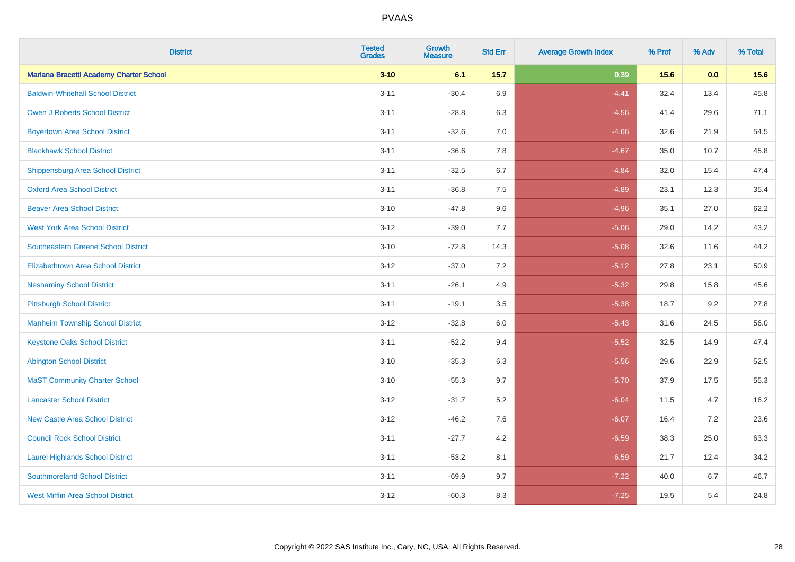| <b>District</b>                            | <b>Tested</b><br><b>Grades</b> | Growth<br><b>Measure</b> | <b>Std Err</b> | <b>Average Growth Index</b> | % Prof | % Adv | % Total |
|--------------------------------------------|--------------------------------|--------------------------|----------------|-----------------------------|--------|-------|---------|
| Mariana Bracetti Academy Charter School    | $3 - 10$                       | 6.1                      | 15.7           | 0.39                        | 15.6   | 0.0   | 15.6    |
| <b>Baldwin-Whitehall School District</b>   | $3 - 11$                       | $-30.4$                  | 6.9            | $-4.41$                     | 32.4   | 13.4  | 45.8    |
| <b>Owen J Roberts School District</b>      | $3 - 11$                       | $-28.8$                  | 6.3            | $-4.56$                     | 41.4   | 29.6  | 71.1    |
| <b>Boyertown Area School District</b>      | $3 - 11$                       | $-32.6$                  | 7.0            | $-4.66$                     | 32.6   | 21.9  | 54.5    |
| <b>Blackhawk School District</b>           | $3 - 11$                       | $-36.6$                  | 7.8            | $-4.67$                     | 35.0   | 10.7  | 45.8    |
| <b>Shippensburg Area School District</b>   | $3 - 11$                       | $-32.5$                  | 6.7            | $-4.84$                     | 32.0   | 15.4  | 47.4    |
| <b>Oxford Area School District</b>         | $3 - 11$                       | $-36.8$                  | 7.5            | $-4.89$                     | 23.1   | 12.3  | 35.4    |
| <b>Beaver Area School District</b>         | $3 - 10$                       | $-47.8$                  | 9.6            | $-4.96$                     | 35.1   | 27.0  | 62.2    |
| <b>West York Area School District</b>      | $3-12$                         | $-39.0$                  | 7.7            | $-5.06$                     | 29.0   | 14.2  | 43.2    |
| <b>Southeastern Greene School District</b> | $3 - 10$                       | $-72.8$                  | 14.3           | $-5.08$                     | 32.6   | 11.6  | 44.2    |
| <b>Elizabethtown Area School District</b>  | $3 - 12$                       | $-37.0$                  | 7.2            | $-5.12$                     | 27.8   | 23.1  | 50.9    |
| <b>Neshaminy School District</b>           | $3 - 11$                       | $-26.1$                  | 4.9            | $-5.32$                     | 29.8   | 15.8  | 45.6    |
| <b>Pittsburgh School District</b>          | $3 - 11$                       | $-19.1$                  | 3.5            | $-5.38$                     | 18.7   | 9.2   | 27.8    |
| <b>Manheim Township School District</b>    | $3 - 12$                       | $-32.8$                  | 6.0            | $-5.43$                     | 31.6   | 24.5  | 56.0    |
| <b>Keystone Oaks School District</b>       | $3 - 11$                       | $-52.2$                  | 9.4            | $-5.52$                     | 32.5   | 14.9  | 47.4    |
| <b>Abington School District</b>            | $3 - 10$                       | $-35.3$                  | 6.3            | $-5.56$                     | 29.6   | 22.9  | 52.5    |
| <b>MaST Community Charter School</b>       | $3 - 10$                       | $-55.3$                  | 9.7            | $-5.70$                     | 37.9   | 17.5  | 55.3    |
| <b>Lancaster School District</b>           | $3 - 12$                       | $-31.7$                  | $5.2\,$        | $-6.04$                     | 11.5   | 4.7   | 16.2    |
| <b>New Castle Area School District</b>     | $3 - 12$                       | $-46.2$                  | 7.6            | $-6.07$                     | 16.4   | 7.2   | 23.6    |
| <b>Council Rock School District</b>        | $3 - 11$                       | $-27.7$                  | 4.2            | $-6.59$                     | 38.3   | 25.0  | 63.3    |
| <b>Laurel Highlands School District</b>    | $3 - 11$                       | $-53.2$                  | 8.1            | $-6.59$                     | 21.7   | 12.4  | 34.2    |
| <b>Southmoreland School District</b>       | $3 - 11$                       | $-69.9$                  | 9.7            | $-7.22$                     | 40.0   | 6.7   | 46.7    |
| <b>West Mifflin Area School District</b>   | $3 - 12$                       | $-60.3$                  | 8.3            | $-7.25$                     | 19.5   | 5.4   | 24.8    |